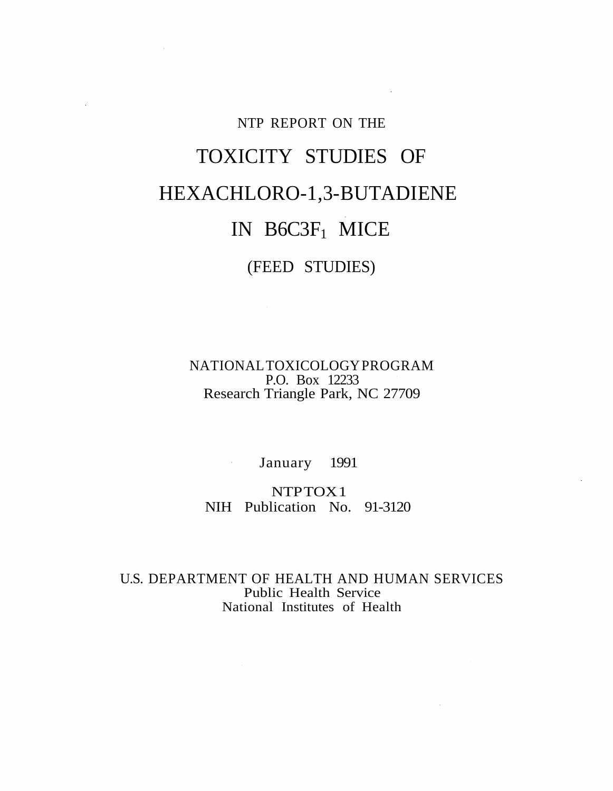# NTP REPORT ON THE TOXICITY STUDIES OF HEXACHLORO-1,3-BUTADIENE IN B6C3F1 MICE (FEED STUDIES)

NATIONAL TOXICOLOGY PROGRAM P.O. Box 12233 Research Triangle Park, NC 27709

January 1991

NTP TOX1 NIH Publication No. 91-3120

U.S. DEPARTMENT OF HEALTH AND HUMAN SERVICES Public Health Service National Institutes of Health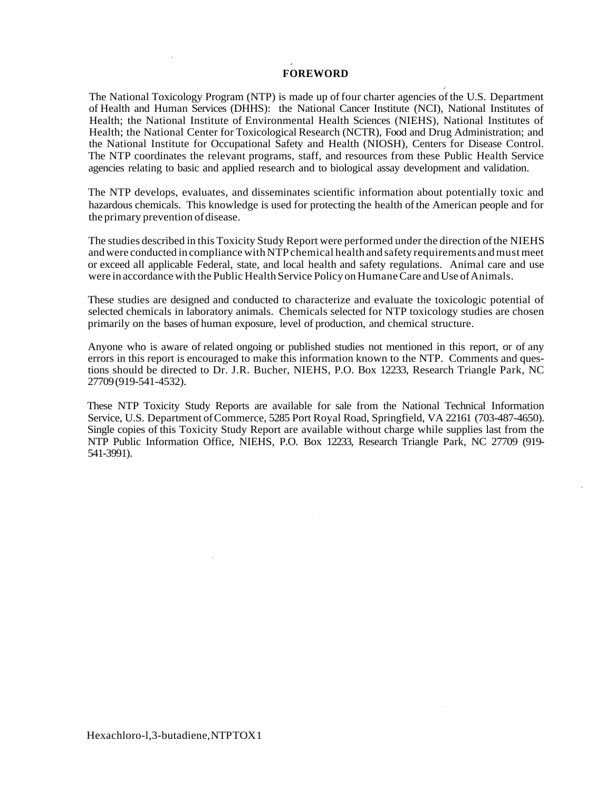#### **FOREWORD**

The National Toxicology Program (NTP) is made up of four charter agencies of the U.S. Department of Health and Human Services (DHHS): the National Cancer Institute (NCI), National Institutes of Health; the National Institute of Environmental Health Sciences (NIEHS), National Institutes of Health; the National Center for Toxicological Research (NCTR), Food and Drug Administration; and the National Institute for Occupational Safety and Health (NIOSH), Centers for Disease Control. The NTP coordinates the relevant programs, staff, and resources from these Public Health Service agencies relating to basic and applied research and to biological assay development and validation.

The NTP develops, evaluates, and disseminates scientific information about potentially toxic and hazardous chemicals. This knowledge is used for protecting the health of the American people and for the primary prevention of disease.

The studies described in this Toxicity Study Report were performed under the direction of the NIEHS and were conducted in compliance with NTP chemical health and safety requirements and must meet or exceed all applicable Federal, state, and local health and safety regulations. Animal care and use were in accordance with the Public Health Service Policy on Humane Care and Use of Animals.

These studies are designed and conducted to characterize and evaluate the toxicologic potential of selected chemicals in laboratory animals. Chemicals selected for NTP toxicology studies are chosen primarily on the bases of human exposure, level of production, and chemical structure.

Anyone who is aware of related ongoing or published studies not mentioned in this report, or of any errors in this report is encouraged to make this information known to the NTP. Comments and questions should be directed to Dr. J.R. Bucher, NIEHS, P.O. Box 12233, Research Triangle Park, NC 27709 (919-541-4532).

These NTP Toxicity Study Reports are available for sale from the National Technical Information Service, U.S. Department of Commerce, 5285 Port Royal Road, Springfield, VA 22161 (703-487-4650). Single copies of this Toxicity Study Report are available without charge while supplies last from the NTP Public Information Office, NIEHS, P.O. Box 12233, Research Triangle Park, NC 27709 (919 541-3991).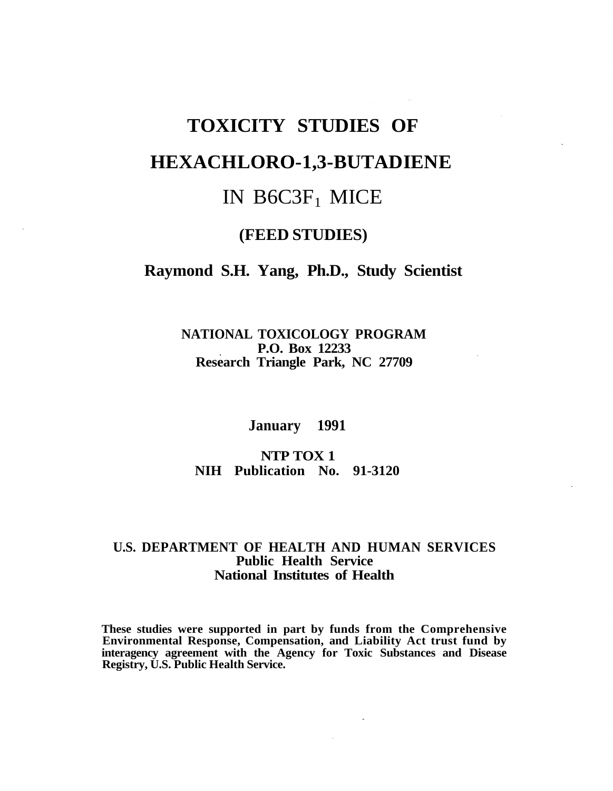## **TOXICITY STUDIES OF HEXACHLORO-1,3-BUTADIENE**  IN B6C3F1 MICE

## **(FEED STUDIES)**

### **Raymond S.H. Yang, Ph.D., Study Scientist**

**NATIONAL TOXICOLOGY PROGRAM P.O. Box 12233 Research Triangle Park, NC 27709** 

**January 1991** 

**NTP TOX 1 NIH Publication No. 91-3120** 

### U.S. DEPARTMENT OF HEALTH AND HUMAN SERVICES **Public Health Service National Institutes of Health**

**These studies were supported in part by funds from the Comprehensive Environmental Response, Compensation, and Liability Act trust fund by interagency agreement with the Agency for Toxic Substances and Disease Registry, U.S. Public Health Service.**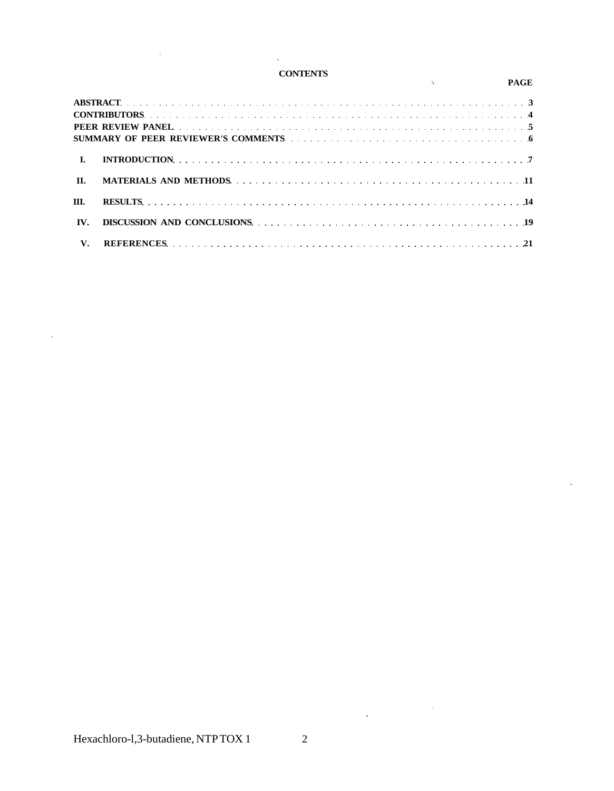#### **CONTENTS**

 $\mathbf{q}$ 

|              | <u>UUNIBNIS S</u><br>the control of the state of the con-                                                                                                                                                                      |  | <b>PAGE</b> |
|--------------|--------------------------------------------------------------------------------------------------------------------------------------------------------------------------------------------------------------------------------|--|-------------|
|              |                                                                                                                                                                                                                                |  |             |
|              |                                                                                                                                                                                                                                |  |             |
|              |                                                                                                                                                                                                                                |  |             |
|              |                                                                                                                                                                                                                                |  |             |
| $\mathbf{L}$ |                                                                                                                                                                                                                                |  |             |
| $\Pi$ .      |                                                                                                                                                                                                                                |  |             |
| III.         |                                                                                                                                                                                                                                |  |             |
| IV.          | DISCUSSION AND CONCLUSIONS (and the contract of the contract of the contract of the contract of the contract of the contract of the contract of the contract of the contract of the contract of the contract of the contract o |  |             |
| $V_{\star}$  |                                                                                                                                                                                                                                |  |             |

 $\hat{\mathcal{A}}$ 

 $\sim 10$ 

 $\label{eq:2.1} \frac{1}{\sqrt{2\pi}}\int_{\mathbb{R}^3}\frac{1}{\sqrt{2\pi}}\left(\frac{1}{\sqrt{2\pi}}\right)^2\frac{1}{\sqrt{2\pi}}\frac{1}{\sqrt{2\pi}}\frac{1}{\sqrt{2\pi}}\frac{1}{\sqrt{2\pi}}\frac{1}{\sqrt{2\pi}}\frac{1}{\sqrt{2\pi}}\frac{1}{\sqrt{2\pi}}\frac{1}{\sqrt{2\pi}}\frac{1}{\sqrt{2\pi}}\frac{1}{\sqrt{2\pi}}\frac{1}{\sqrt{2\pi}}\frac{1}{\sqrt{2\pi}}\frac{1}{\sqrt{2\pi}}\frac$ 

 $\bar{\mathcal{L}}$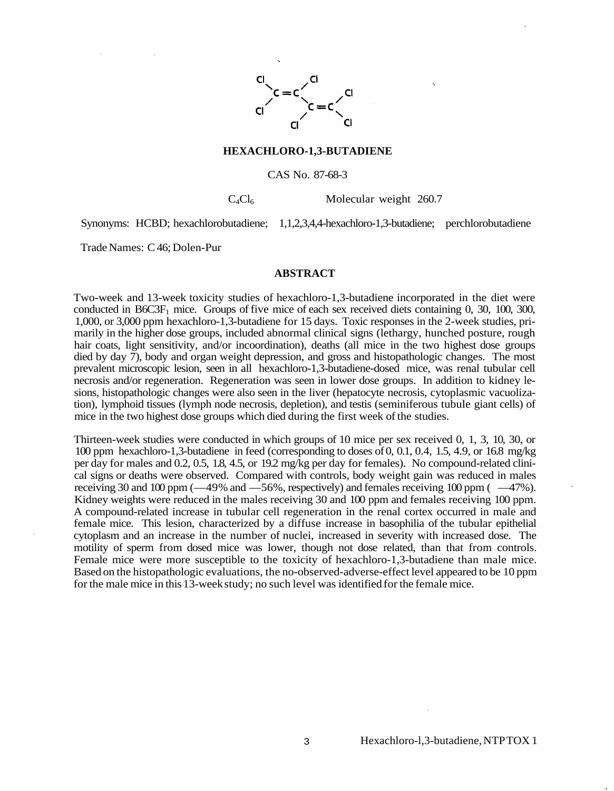

#### **HEXACHLORO-1,3-BUTADIENE**

#### CAS No. 87-68-3

 $C_4Cl_6$  Molecular weight 260.7

Synonyms: HCBD; hexachlorobutadiene; 1,1,2,3,4,4-hexachloro-1,3-butadiene; perchlorobutadiene

Trade Names: C 46; Dolen-Pur

#### **ABSTRACT**

Two-week and 13-week toxicity studies of hexachloro-1,3-butadiene incorporated in the diet were conducted in  $B6C3F<sub>1</sub>$  mice. Groups of five mice of each sex received diets containing 0, 30, 100, 300, 1,000, or 3,000 ppm hexachloro-1,3-butadiene for 15 days. Toxic responses in the 2-week studies, primarily in the higher dose groups, included abnormal clinical signs (lethargy, hunched posture, rough hair coats, light sensitivity, and/or incoordination), deaths (all mice in the two highest dose groups died by day 7), body and organ weight depression, and gross and histopathologic changes. The most prevalent microscopic lesion, seen in all hexachloro-1,3-butadiene-dosed mice, was renal tubular cell necrosis and/or regeneration. Regeneration was seen in lower dose groups. In addition to kidney lesions, histopathologic changes were also seen in the liver (hepatocyte necrosis, cytoplasmic vacuolization), lymphoid tissues (lymph node necrosis, depletion), and testis (seminiferous tubule giant cells) of mice in the two highest dose groups which died during the first week of the studies.

Thirteen-week studies were conducted in which groups of 10 mice per sex received 0, 1, 3, 10, 30, or 100 ppm hexachloro-1,3-butadiene in feed (corresponding to doses of 0, 0.1, 0.4, 1.5, 4.9, or 16.8 mg/kg per day for males and 0.2, 0.5, 1.8, 4.5, or 19.2 mg/kg per day for females). No compound-related clinical signs or deaths were observed. Compared with controls, body weight gain was reduced in males receiving 30 and 100 ppm (—49% and —56%, respectively) and females receiving 100 ppm ( —47%). Kidney weights were reduced in the males receiving 30 and 100 ppm and females receiving 100 ppm. A compound-related increase in tubular cell regeneration in the renal cortex occurred in male and female mice. This lesion, characterized by a diffuse increase in basophilia of the tubular epithelial cytoplasm and an increase in the number of nuclei, increased in severity with increased dose. The motility of sperm from dosed mice was lower, though not dose related, than that from controls. Female mice were more susceptible to the toxicity of hexachloro-1,3-butadiene than male mice. Based on the histopathologic evaluations, the no-observed-adverse-effect level appeared to be 10 ppm for the male mice in this 13-week study; no such level was identified for the female mice.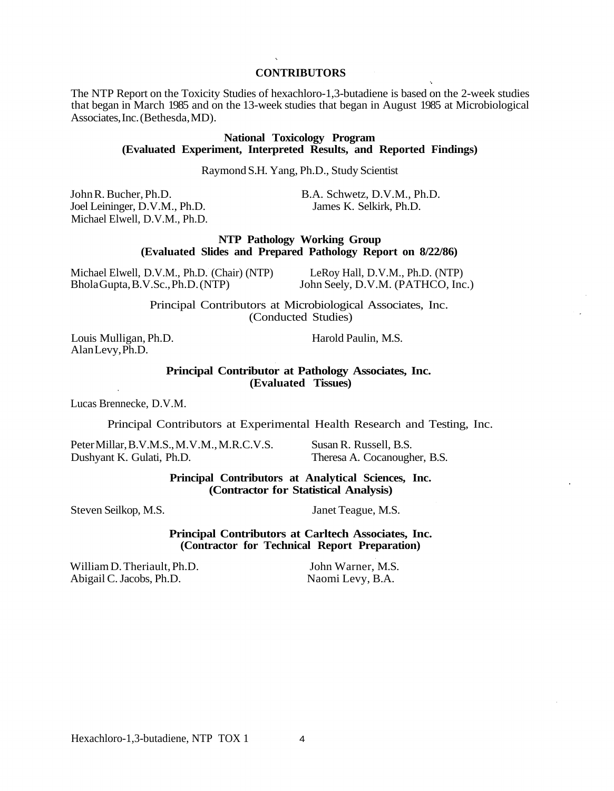#### **CONTRIBUTORS**

The NTP Report on the Toxicity Studies of hexachloro-1,3-butadiene is based on the 2-week studies that began in March 1985 and on the 13-week studies that began in August 1985 at Microbiological Associates, Inc. (Bethesda, MD).

#### **National Toxicology Program (Evaluated Experiment, Interpreted Results, and Reported Findings)**

Raymond S.H. Yang, Ph.D., Study Scientist

Joel Leininger, D.V.M., Ph.D. Michael Elwell, D.V.M., Ph.D.

John R. Bucher, Ph.D.<br>
Joel Leininger, D.V.M., Ph.D.<br>
James K. Selkirk, Ph.D.<br>
James K. Selkirk, Ph.D.

**NTP Pathology Working Group (Evaluated Slides and Prepared Pathology Report on 8/22/86)** 

| Michael Elwell, D.V.M., Ph.D. (Chair) (NTP) | LeRoy Hall, D.V.M., Ph.D. (NTP)   |
|---------------------------------------------|-----------------------------------|
| BholaGupta, B.V.Sc., Ph.D. (NTP)            | John Seely, D.V.M. (PATHCO, Inc.) |

Principal Contributors at Microbiological Associates, Inc. (Conducted Studies)

Louis Mulligan, Ph.D. Harold Paulin, M.S. Alan Levy, Ph.D.

**Principal Contributor at Pathology Associates, Inc. (Evaluated Tissues)** 

Lucas Brennecke, D.V.M.

Principal Contributors at Experimental Health Research and Testing, Inc.

Peter Millar, B.V.M.S., M.V.M., M.R.C.V.S. Susan R. Russell, B.S. Dushyant K. Gulati, Ph.D. Theresa A. Cocanougher, B.S.

#### **Principal Contributors at Analytical Sciences, Inc. (Contractor for Statistical Analysis)**

Steven Seilkop, M.S. Janet Teague, M.S.

**Principal Contributors at Carltech Associates, Inc. (Contractor for Technical Report Preparation)** 

William D. Theriault, Ph.D. John Warner, M.S. Abigail C. Jacobs, Ph.D. Naomi Levy, B.A.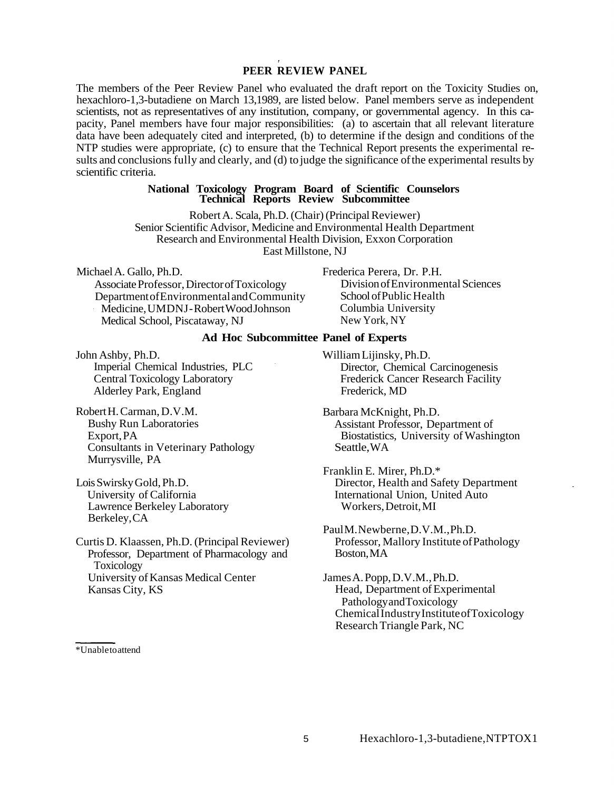#### **PEER REVIEW PANEL**

The members of the Peer Review Panel who evaluated the draft report on the Toxicity Studies on, hexachloro-1,3-butadiene on March 13,1989, are listed below. Panel members serve as independent scientists, not as representatives of any institution, company, or governmental agency. In this capacity, Panel members have four major responsibilities: (a) to ascertain that all relevant literature data have been adequately cited and interpreted, (b) to determine if the design and conditions of the NTP studies were appropriate, (c) to ensure that the Technical Report presents the experimental results and conclusions fully and clearly, and (d) to judge the significance of the experimental results by scientific criteria.

#### **National Toxicology Program Board of Scientific Counselors Technical Reports Review Subcommittee**

Robert A. Scala, Ph.D. (Chair) (Principal Reviewer) Senior Scientific Advisor, Medicine and Environmental Health Department Research and Environmental Health Division, Exxon Corporation East Millstone, NJ

Michael A. Gallo, Ph.D.<br>
Associate Professor. Director of Toxicology Frederica Perera, Dr. P.H.<br>
Division of Environmental Sciences Associate Professor, Director of Toxicology Department of Environmental and Community School of Public Health Medicine, UMDNJ-Robert Wood Johnson Medical School, Piscataway, NJ

Columbia University New York, NY

#### **Ad Hoc Subcommittee Panel of Experts**

John Ashby, Ph.D. William Lijinsky, Ph.D. Alderley Park, England Frederick, MD

- Robert H. Carman, D.V.M.<br>Barbara McKnight, Ph.D.<br>Bushy Run Laboratories Assistant Professor, Department Consultants in Veterinary Pathology Murrysville, PA
- Lawrence Berkeley Laboratory Workers, Detroit, MI Berkeley, CA

Professor, Department of Pharmacology and Boston, MA Toxicology University of Kansas Medical Center Kansas City, KS **Head, Department of Experimental** 

Imperial Chemical Industries, PLC<br>
Central Toxicology Laboratory<br>
Frederick Cancer Research Facility Frederick Cancer Research Facility

Assistant Professor, Department of Export, PA<br>
Consultants in Veterinary Pathology<br>
Consultants in Veterinary Pathology<br>
Seattle, WA

Franklin E. Mirer, Ph.D.\* Lois Swirsky Gold, Ph.D. Director, Health and Safety Department International Union, United Auto

Paul M. Newberne, D.V.M., Ph.D. Curtis D. Klaassen, Ph.D. (Principal Reviewer) Professor, Mallory Institute of Pathology

> James A. Popp, D.V.M., Ph.D. Pathology and Toxicology Chemical Industry Institute of Toxicology Research Triangle Park, NC

\*Unable to attend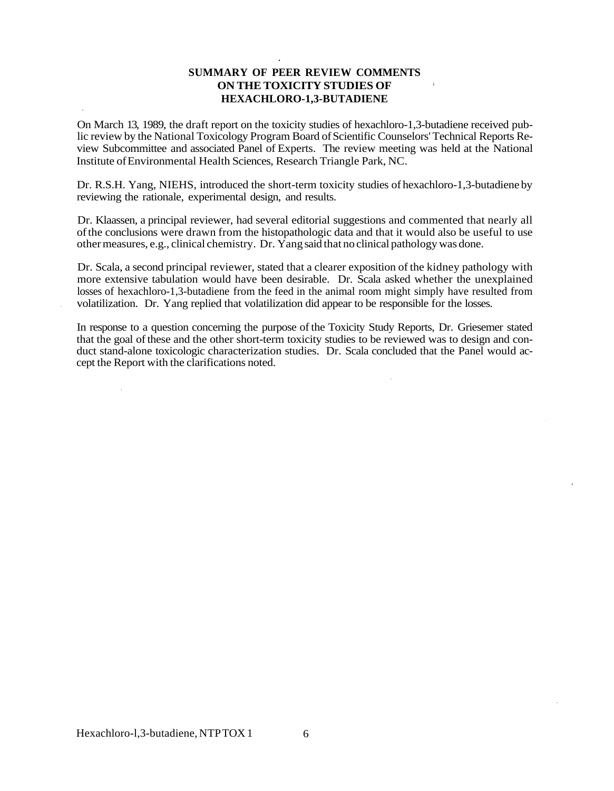#### **SUMMARY OF PEER REVIEW COMMENTS ON THE TOXICITY STUDIES OF HEXACHLORO-1,3-BUTADIENE**

On March 13, 1989, the draft report on the toxicity studies of hexachloro-1,3-butadiene received public review by the National Toxicology Program Board of Scientific Counselors' Technical Reports Review Subcommittee and associated Panel of Experts. The review meeting was held at the National Institute of Environmental Health Sciences, Research Triangle Park, NC.

Dr. R.S.H. Yang, NIEHS, introduced the short-term toxicity studies of hexachloro-1,3-butadiene by reviewing the rationale, experimental design, and results.

Dr. Klaassen, a principal reviewer, had several editorial suggestions and commented that nearly all of the conclusions were drawn from the histopathologic data and that it would also be useful to use other measures, e.g., clinical chemistry. Dr. Yang said that no clinical pathology was done.

Dr. Scala, a second principal reviewer, stated that a clearer exposition of the kidney pathology with more extensive tabulation would have been desirable. Dr. Scala asked whether the unexplained losses of hexachloro-1,3-butadiene from the feed in the animal room might simply have resulted from volatilization. Dr. Yang replied that volatilization did appear to be responsible for the losses.

In response to a question concerning the purpose of the Toxicity Study Reports, Dr. Griesemer stated that the goal of these and the other short-term toxicity studies to be reviewed was to design and conduct stand-alone toxicologic characterization studies. Dr. Scala concluded that the Panel would accept the Report with the clarifications noted.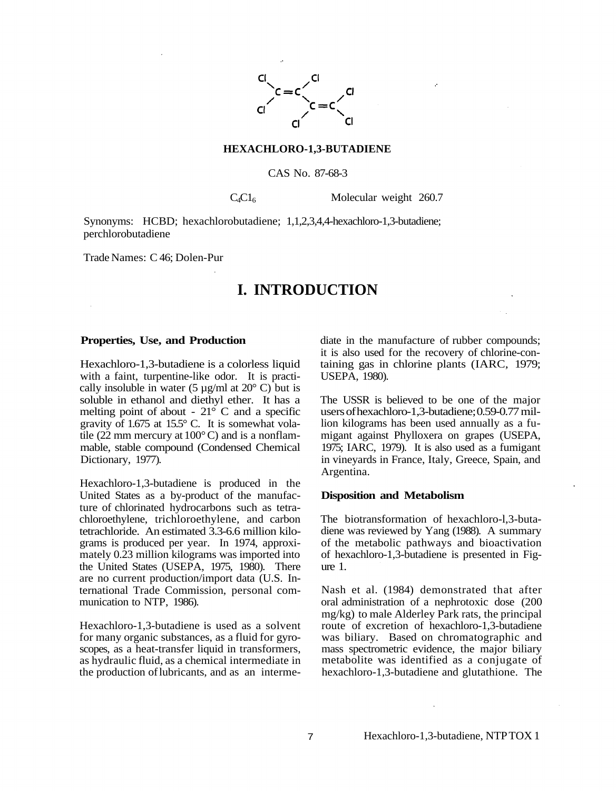

#### **HEXACHLORO-1,3-BUTADIENE**

#### CAS No. 87-68-3

 $C_4C1_6$  Molecular weight 260.7

Synonyms: HCBD; hexachlorobutadiene; 1,1,2,3,4,4-hexachloro-1,3-butadiene; perchlorobutadiene

Trade Names: C 46; Dolen-Pur

## **I. INTRODUCTION**

#### **Properties, Use, and Production**

Hexachloro-1,3-butadiene is a colorless liquid with a faint, turpentine-like odor. It is practically insoluble in water (5  $\mu$ g/ml at 20 $^{\circ}$  C) but is soluble in ethanol and diethyl ether. It has a melting point of about -  $21^{\circ}$  C and a specific gravity of 1.675 at 15.5° C. It is somewhat volatile (22 mm mercury at  $100^{\circ}$ C) and is a nonflammable, stable compound (Condensed Chemical Dictionary, 1977).

Hexachloro-1,3-butadiene is produced in the United States as a by-product of the manufacture of chlorinated hydrocarbons such as tetrachloroethylene, trichloroethylene, and carbon tetrachloride. An estimated 3.3-6.6 million kilograms is produced per year. In 1974, approximately 0.23 million kilograms was imported into the United States (USEPA, 1975, 1980). There are no current production/import data (U.S. International Trade Commission, personal communication to NTP, 1986).

Hexachloro-1,3-butadiene is used as a solvent for many organic substances, as a fluid for gyroscopes, as a heat-transfer liquid in transformers, as hydraulic fluid, as a chemical intermediate in the production of lubricants, and as an intermediate in the manufacture of rubber compounds; it is also used for the recovery of chlorine-containing gas in chlorine plants (IARC, 1979; USEPA, 1980).

The USSR is believed to be one of the major users of hexachloro-1,3-butadiene; 0.59-0.77 million kilograms has been used annually as a fumigant against Phylloxera on grapes (USEPA, 1975; IARC, 1979). It is also used as a fumigant in vineyards in France, Italy, Greece, Spain, and Argentina.

#### **Disposition and Metabolism**

The biotransformation of hexachloro-l,3-butadiene was reviewed by Yang (1988). A summary of the metabolic pathways and bioactivation of hexachloro-1,3-butadiene is presented in Figure 1.

Nash et al. (1984) demonstrated that after oral administration of a nephrotoxic dose (200 mg/kg) to male Alderley Park rats, the principal route of excretion of hexachloro-1,3-butadiene was biliary. Based on chromatographic and mass spectrometric evidence, the major biliary metabolite was identified as a conjugate of hexachloro-1,3-butadiene and glutathione. The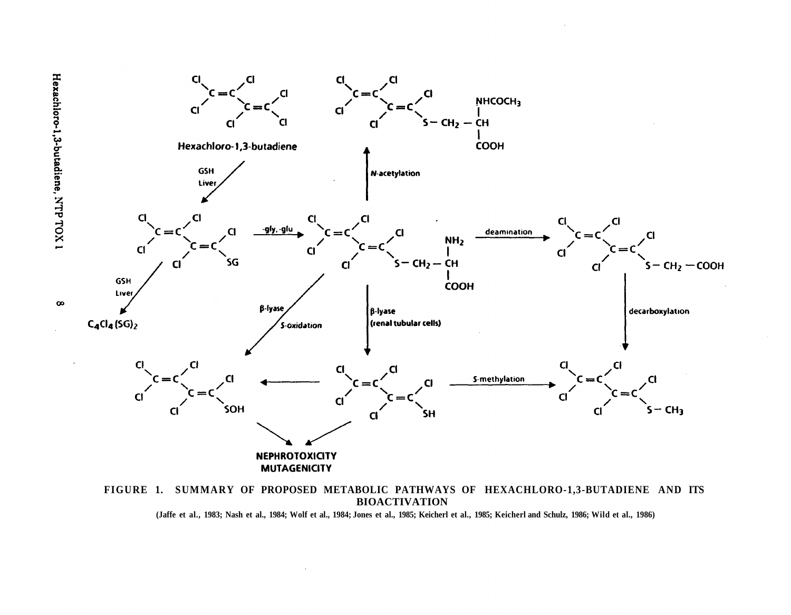

**BIOACTIVATION (Jaffe et al., 1983; Nash et al., 1984; Wolf et al., 1984; Jones et al., 1985; Keicherl et al., 1985; Keicherl and Schulz, 1986; Wild et al., 1986)** 

 $\infty$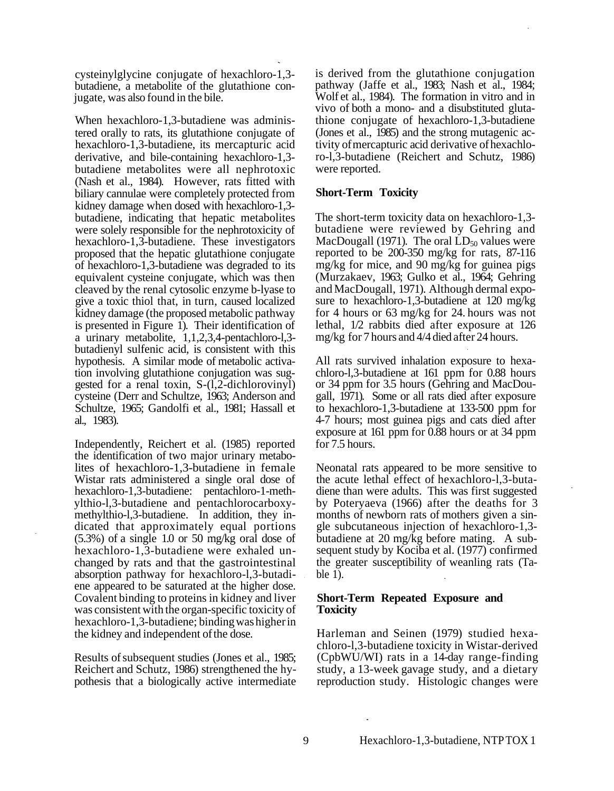cysteinylglycine conjugate of hexachloro-1,3-<br>butadiene, a metabolite of the glutathione con-<br>jugate, was also found in the bile.

When hexachloro-1,3-butadiene was administered orally to rats, its glutathione conjugate of hexachloro-1,3-butadiene, its mercapturic acid derivative, and bile-containing hexachloro-1,3 butadiene metabolites were all nephrotoxic (Nash et al., 1984). However, rats fitted with biliary cannulae were completely protected from kidney damage when dosed with hexachloro-1,3 butadiene, indicating that hepatic metabolites were solely responsible for the nephrotoxicity of hexachloro-1,3-butadiene. These investigators proposed that the hepatic glutathione conjugate of hexachloro-1,3-butadiene was degraded to its equivalent cysteine conjugate, which was then cleaved by the renal cytosolic enzyme b-lyase to give a toxic thiol that, in turn, caused localized kidney damage (the proposed metabolic pathway is presented in Figure 1). Their identification of a urinary metabolite, 1,1,2,3,4-pentachloro-l,3 butadienyl sulfenic acid, is consistent with this hypothesis. A similar mode of metabolic activation involving glutathione conjugation was suggested for a renal toxin, S-(l,2-dichlorovinyl) cysteine (Derr and Schultze, 1963; Anderson and Schultze, 1965; Gandolfi et al., 1981; Hassall et al., 1983).

Independently, Reichert et al. (1985) reported the identification of two major urinary metabolites of hexachloro-1,3-butadiene in female Wistar rats administered a single oral dose of hexachloro-1,3-butadiene: pentachloro-1-methylthio-l,3-butadiene and pentachlorocarboxy-<br>methylthio-l,3-butadiene. In addition, they in-<br>dicated that approximately equal portions (5.3%) of a single 1.0 or 50 mg/kg oral dose of hexachloro-1,3-butadiene were exhaled unchanged by rats and that the gastrointestinal absorption pathway for hexachloro-l,3-butadiene appeared to be saturated at the higher dose. Covalent binding to proteins in kidney and liver was consistent with the organ-specific toxicity of hexachloro-1,3-butadiene; binding was higher in the kidney and independent of the dose.

Results of subsequent studies (Jones et al., 1985; Reichert and Schutz, 1986) strengthened the hypothesis that a biologically active intermediate is derived from the glutathione conjugation pathway (Jaffe et al., 1983; Nash et al., 1984; Wolf et al., 1984). The formation in vitro and in vivo of both a mono- and a disubstituted glutathione conjugate of hexachloro-1,3-butadiene (Jones et al., 1985) and the strong mutagenic activity of mercapturic acid derivative of hexachloro-l,3-butadiene (Reichert and Schutz, 1986) were reported.

#### **Short-Term Toxicity**

The short-term toxicity data on hexachloro-1,3 butadiene were reviewed by Gehring and MacDougall (1971). The oral  $LD_{50}$  values were reported to be 200-350 mg/kg for rats, 87-116 mg/kg for mice, and 90 mg/kg for guinea pigs (Murzakaev, 1963; Gulko et al., 1964; Gehring and MacDougall, 1971). Although dermal exposure to hexachloro-1,3-butadiene at 120 mg/kg for 4 hours or 63 mg/kg for 24. hours was not lethal, 1/2 rabbits died after exposure at 126 mg/kg for 7 hours and 4/4 died after 24 hours.

All rats survived inhalation exposure to hexachloro-l,3-butadiene at 161 ppm for 0.88 hours or 34 ppm for 3.5 hours (Gehring and MacDougall, 1971). Some or all rats died after exposure to hexachloro-1,3-butadiene at 133-500 ppm for 4-7 hours; most guinea pigs and cats died after exposure at 161 ppm for 0.88 hours or at 34 ppm for 7.5 hours.

Neonatal rats appeared to be more sensitive to the acute lethal effect of hexachloro-l,3-buta-<br>diene than were adults. This was first suggested by Poteryaeva (1966) after the deaths for 3 months of newborn rats of mothers given a single subcutaneous injection of hexachloro-1,3 butadiene at 20 mg/kg before mating. A subsequent study by Kociba et al. (1977) confirmed the greater susceptibility of weanling rats (Table 1).

#### **Short-Term Repeated Exposure and Toxicity**

Harleman and Seinen (1979) studied hexachloro-l,3-butadiene toxicity in Wistar-derived (CpbWU/WI) rats in a 14-day range-finding study, a 13-week gavage study, and a dietary reproduction study. Histologic changes were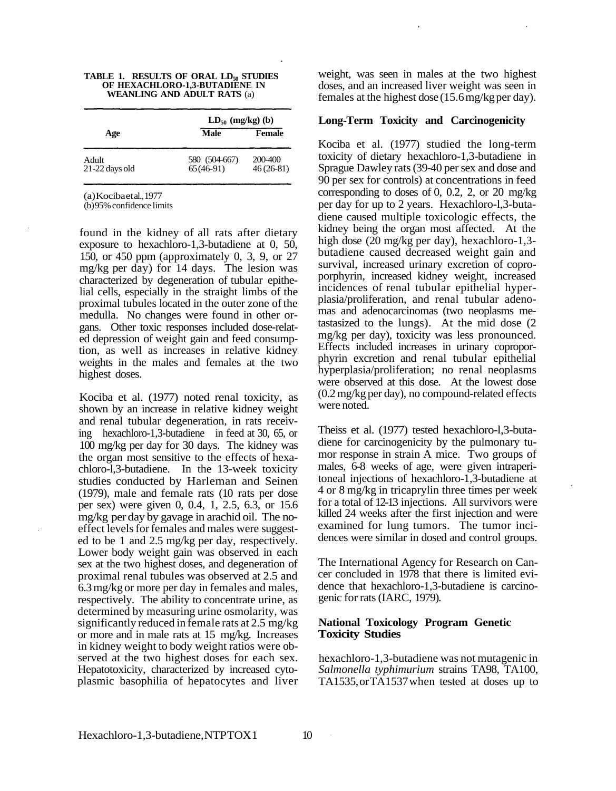|  |                                    |  | TABLE 1. RESULTS OF ORAL LD <sub>50</sub> STUDIES |
|--|------------------------------------|--|---------------------------------------------------|
|  | OF HEXACHLORO-1,3-BUTADIENE IN     |  |                                                   |
|  | <b>WEANLING AND ADULT RATS (a)</b> |  |                                                   |

|                         | $LD_{50}$ (mg/kg) (b)        |                        |  |  |
|-------------------------|------------------------------|------------------------|--|--|
| Age                     | <b>Male</b>                  | <b>Female</b>          |  |  |
| Adult<br>21-22 days old | 580 (504-667)<br>$65(46-91)$ | 200-400<br>$46(26-81)$ |  |  |

(a) Kociba et al., 1977

(b)95% confidence limits

found in the kidney of all rats after dietary exposure to hexachloro-1,3-butadiene at 0, 50, 150, or 450 ppm (approximately 0, 3, 9, or 27 mg/kg per day) for 14 days. The lesion was characterized by degeneration of tubular epithelial cells, especially in the straight limbs of the proximal tubules located in the outer zone of the medulla. No changes were found in other organs. Other toxic responses included dose-related depression of weight gain and feed consumption, as well as increases in relative kidney weights in the males and females at the two highest doses.

Kociba et al. (1977) noted renal toxicity, as shown by an increase in relative kidney weight and renal tubular degeneration, in rats receiving hexachloro-1,3-butadiene in feed at 30, 65, or 100 mg/kg per day for 30 days. The kidney was the organ most sensitive to the effects of hexachloro-l,3-butadiene. In the 13-week toxicity studies conducted by Harleman and Seinen (1979), male and female rats (10 rats per dose per sex) were given 0, 0.4, 1, 2.5, 6.3, or 15.6 mg/kg per day by gavage in arachid oil. The noeffect levels for females and males were suggested to be 1 and 2.5 mg/kg per day, respectively. Lower body weight gain was observed in each sex at the two highest doses, and degeneration of proximal renal tubules was observed at 2.5 and 6.3mg/kg or more per day in females and males, respectively. The ability to concentrate urine, as determined by measuring urine osmolarity, was significantly reduced in female rats at 2.5 mg/kg or more and in male rats at 15 mg/kg. Increases in kidney weight to body weight ratios were observed at the two highest doses for each sex. Hepatotoxicity, characterized by increased cytoplasmic basophilia of hepatocytes and liver weight, was seen in males at the two highest doses, and an increased liver weight was seen in females at the highest dose (15.6 mg/kg per day).

#### **Long-Term Toxicity and Carcinogenicity**

Kociba et al. (1977) studied the long-term toxicity of dietary hexachloro-1,3-butadiene in Sprague Dawley rats (39-40 per sex and dose and 90 per sex for controls) at concentrations in feed corresponding to doses of 0, 0.2, 2, or 20 mg/kg per day for up to 2 years. Hexachloro-l,3-butadiene caused multiple toxicologic effects, the kidney being the organ most affected. At the high dose (20 mg/kg per day), hexachloro-1,3butadiene caused decreased weight gain and survival, increased urinary excretion of coproporphyrin, increased kidney weight, increased incidences of renal tubular epithelial hyperplasia/proliferation, and renal tubular adenomas and adenocarcinomas (two neoplasms metastasized to the lungs). At the mid dose (2 mg/kg per day), toxicity was less pronounced. Effects included increases in urinary coproporphyrin excretion and renal tubular epithelial hyperplasia/proliferation; no renal neoplasms were observed at this dose. At the lowest dose (0.2mg/kg per day), no compound-related effects were noted.

Theiss et al. (1977) tested hexachloro-l,3-butadiene for carcinogenicity by the pulmonary tumor response in strain A mice. Two groups of males, 6-8 weeks of age, were given intraperitoneal injections of hexachloro-1,3-butadiene at 4 or 8 mg/kg in tricaprylin three times per week for a total of 12-13 injections. All survivors were killed 24 weeks after the first injection and were examined for lung tumors. The tumor incidences were similar in dosed and control groups.

The International Agency for Research on Cancer concluded in 1978 that there is limited evidence that hexachloro-1,3-butadiene is carcinogenic for rats (IARC, 1979).

#### **National Toxicology Program Genetic Toxicity Studies**

hexachloro-1,3-butadiene was not mutagenic in *Salmonella typhimurium* strains TA98, TA100, TA1535, or TA1537 when tested at doses up to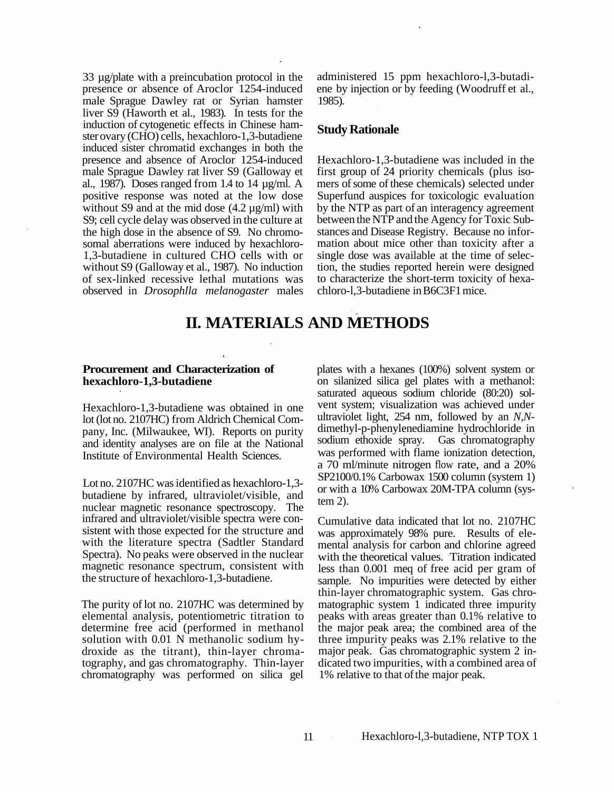33 µg/plate with a preincubation protocol in the presence or absence of Aroclor 1254-induced male Sprague Dawley rat or Syrian hamster liver S9 (Haworth et al., 1983). In tests for the induction of cytogenetic effects in Chinese hamster ovary (CHO) cells, hexachloro-1,3-butadiene induced sister chromatid exchanges in both the presence and absence of Aroclor 1254-induced male Sprague Dawley rat liver S9 (Galloway et al., 1987). Doses ranged from 1.4 to 14  $\mu$ g/ml. A positive response was noted at the low dose without S9 and at the mid dose  $(4.2 \mu g/ml)$  with S9; cell cycle delay was observed in the culture at the high dose in the absence of S9. No chromosomal aberrations were induced by hexachloro-1,3-butadiene in cultured CHO cells with or without S9 (Galloway et al., 1987). No induction of sex-linked recessive lethal mutations was observed in *Drosophlla melanogaster* males

administered 15 ppm hexachloro-l,3-butadiene by injection or by feeding (Woodruff et al., 1985).

#### **Study Rationale**

Hexachloro-1,3-butadiene was included in the first group of 24 priority chemicals (plus isomers of some of these chemicals) selected under Superfund auspices for toxicologic evaluation by the NTP as part of an interagency agreement between the NTP and the Agency for Toxic Substances and Disease Registry. Because no information about mice other than toxicity after a single dose was available at the time of selection, the studies reported herein were designed to characterize the short-term toxicity of hexachloro-l,3-butadiene in B6C3F1 mice.

## **II. MATERIALS AND METHODS**

#### **Procurement and Characterization of hexachloro-1,3-butadiene**

Hexachloro-1,3-butadiene was obtained in one lot (lot no. 2107HC) from Aldrich Chemical Company, Inc. (Milwaukee, WI). Reports on purity and identity analyses are on file at the National Institute of Environmental Health Sciences.

Lot no. 2107HC was identified as hexachloro-1,3 butadiene by infrared, ultraviolet/visible, and nuclear magnetic resonance spectroscopy. The infrared and ultraviolet/visible spectra were consistent with those expected for the structure and with the literature spectra (Sadtler Standard Spectra). No peaks were observed in the nuclear magnetic resonance spectrum, consistent with the structure of hexachloro-1,3-butadiene.

The purity of lot no. 2107HC was determined by elemental analysis, potentiometric titration to determine free acid (performed in methanol solution with 0.01 N methanolic sodium hydroxide as the titrant), thin-layer chroma tography, and gas chromatography. Thin-layer chromatography was performed on silica gel

plates with a hexanes (100%) solvent system or on silanized silica gel plates with a methanol: saturated aqueous sodium chloride (80:20) solvent system; visualization was achieved under ultraviolet light, 254 nm, followed by an *N,N*dimethyl-p-phenylenediamine hydrochloride in sodium ethoxide spray. Gas chromatography was performed with flame ionization detection, a 70 ml/minute nitrogen flow rate, and a 20% SP2100/0.1% Carbowax 1500 column (system 1) or with a 10% Carbowax 20M-TPA column (system 2).

Cumulative data indicated that lot no. 2107HC was approximately 98% pure. Results of elemental analysis for carbon and chlorine agreed with the theoretical values. Titration indicated less than 0.001 meq of free acid per gram of sample. No impurities were detected by either thin-layer chromatographic system. Gas chromatographic system 1 indicated three impurity peaks with areas greater than 0.1% relative to the major peak area; the combined area of the three impurity peaks was 2.1% relative to the major peak. Gas chromatographic system 2 indicated two impurities, with a combined area of 1% relative to that of the major peak.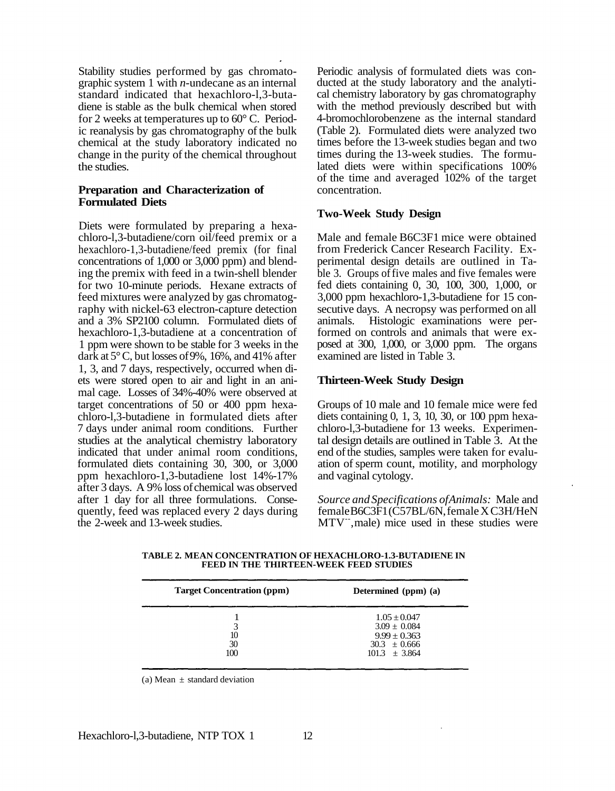Stability studies performed by gas chromatographic system 1 with *n*-undecane as an internal standard indicated that hexachloro-l,3-butadiene is stable as the bulk chemical when stored for 2 weeks at temperatures up to 60° C. Periodic reanalysis by gas chromatography of the bulk chemical at the study laboratory indicated no change in the purity of the chemical throughout the studies.

#### **Preparation and Characterization of Formulated Diets**

Diets were formulated by preparing a hexachloro-l,3-butadiene/corn oil/feed premix or a hexachloro-1,3-butadiene/feed premix (for final concentrations of 1,000 or 3,000 ppm) and blending the premix with feed in a twin-shell blender for two 10-minute periods. Hexane extracts of feed mixtures were analyzed by gas chromatography with nickel-63 electron-capture detection and a 3% SP2100 column. Formulated diets of hexachloro-1,3-butadiene at a concentration of 1 ppm were shown to be stable for 3 weeks in the dark at 5° C, but losses of 9%, 16%, and 41% after 1, 3, and 7 days, respectively, occurred when diets were stored open to air and light in an animal cage. Losses of 34%-40% were observed at target concentrations of 50 or 400 ppm hexachloro-l,3-butadiene in formulated diets after 7 days under animal room conditions. Further studies at the analytical chemistry laboratory indicated that under animal room conditions, formulated diets containing 30, 300, or 3,000 ppm hexachloro-1,3-butadiene lost 14%-17% after 3 days. A 9% loss of chemical was observed after 1 day for all three formulations. Consequently, feed was replaced every 2 days during the 2-week and 13-week studies.

Periodic analysis of formulated diets was conducted at the study laboratory and the analytical chemistry laboratory by gas chromatography with the method previously described but with 4-bromochlorobenzene as the internal standard (Table 2). Formulated diets were analyzed two times before the 13-week studies began and two times during the 13-week studies. The formulated diets were within specifications 100% of the time and averaged 102% of the target concentration.

#### **Two-Week Study Design**

Male and female B6C3F1 mice were obtained from Frederick Cancer Research Facility. Experimental design details are outlined in Table 3. Groups of five males and five females were fed diets containing 0, 30, 100, 300, 1,000, or 3,000 ppm hexachloro-1,3-butadiene for 15 consecutive days. A necropsy was performed on all animals. Histologic examinations were performed on controls and animals that were exposed at 300, 1,000, or 3,000 ppm. The organs examined are listed in Table 3.

#### **Thirteen-Week Study Design**

Groups of 10 male and 10 female mice were fed diets containing 0, 1, 3, 10, 30, or 100 ppm hexachloro-l,3-butadiene for 13 weeks. Experimental design details are outlined in Table 3. At the end of the studies, samples were taken for evaluation of sperm count, motility, and morphology and vaginal cytology.

*Source and Specifications of Animals:* Male and female B6C3F1 (C57BL/6N, female X C3H/HeN MTV<sup>--</sup>, male) mice used in these studies were

| <b>Target Concentration (ppm)</b> | Determined (ppm) (a)                                                                            |
|-----------------------------------|-------------------------------------------------------------------------------------------------|
| 3<br>10<br>30<br>100              | $1.05 \pm 0.047$<br>$3.09 \pm 0.084$<br>$9.99 \pm 0.363$<br>$30.3 \pm 0.666$<br>$101.3 + 3.864$ |

**TABLE 2. MEAN CONCENTRATION OF HEXACHLORO-1.3-BUTADIENE IN FEED IN THE THIRTEEN-WEEK FEED STUDIES** 

(a) Mean  $\pm$  standard deviation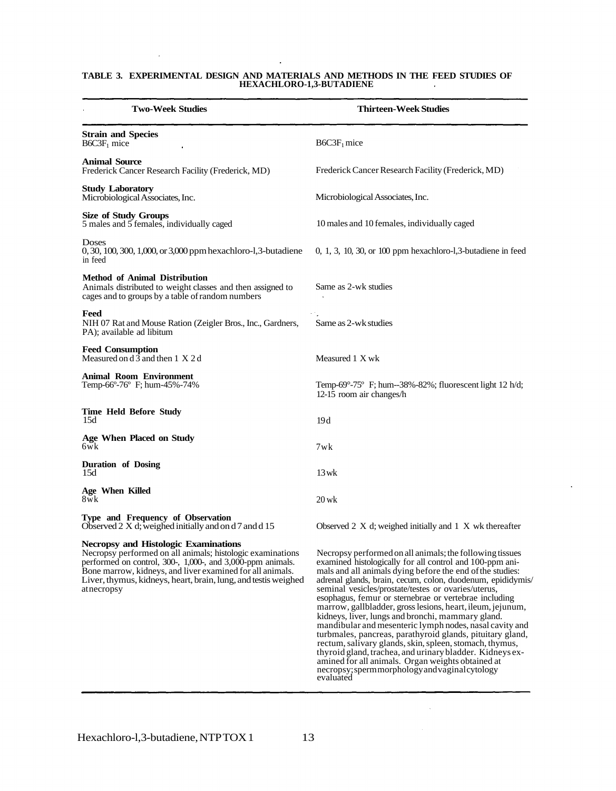#### **TABLE 3. EXPERIMENTAL DESIGN AND MATERIALS AND METHODS IN THE FEED STUDIES OF HEXACHLORO-1,3-BUTADIENE**

 $\ddot{\phantom{a}}$ 

 $\bar{z}$ 

| <b>Two-Week Studies</b>                                                                                                                                                                                                                                                                                                | Thirteen-Week Studies                                                                                                                                                                                                                                                                                                                                                                                                                                                                                                                                                                                                                                                                                                                                                                                                                                 |
|------------------------------------------------------------------------------------------------------------------------------------------------------------------------------------------------------------------------------------------------------------------------------------------------------------------------|-------------------------------------------------------------------------------------------------------------------------------------------------------------------------------------------------------------------------------------------------------------------------------------------------------------------------------------------------------------------------------------------------------------------------------------------------------------------------------------------------------------------------------------------------------------------------------------------------------------------------------------------------------------------------------------------------------------------------------------------------------------------------------------------------------------------------------------------------------|
| <b>Strain and Species</b><br>$B6C3F1$ mice                                                                                                                                                                                                                                                                             | $B6C3F1$ mice                                                                                                                                                                                                                                                                                                                                                                                                                                                                                                                                                                                                                                                                                                                                                                                                                                         |
| <b>Animal Source</b><br>Frederick Cancer Research Facility (Frederick, MD)                                                                                                                                                                                                                                             | Frederick Cancer Research Facility (Frederick, MD)                                                                                                                                                                                                                                                                                                                                                                                                                                                                                                                                                                                                                                                                                                                                                                                                    |
| <b>Study Laboratory</b><br>Microbiological Associates, Inc.                                                                                                                                                                                                                                                            | Microbiological Associates, Inc.                                                                                                                                                                                                                                                                                                                                                                                                                                                                                                                                                                                                                                                                                                                                                                                                                      |
| <b>Size of Study Groups</b><br>5 males and 5 females, individually caged                                                                                                                                                                                                                                               | 10 males and 10 females, individually caged                                                                                                                                                                                                                                                                                                                                                                                                                                                                                                                                                                                                                                                                                                                                                                                                           |
| Doses<br>0, 30, 100, 300, 1,000, or 3,000 ppm hexachloro-1, 3-butadiene<br>in feed                                                                                                                                                                                                                                     | $0, 1, 3, 10, 30,$ or $100$ ppm hexachloro-1,3-butadiene in feed                                                                                                                                                                                                                                                                                                                                                                                                                                                                                                                                                                                                                                                                                                                                                                                      |
| <b>Method of Animal Distribution</b><br>Animals distributed to weight classes and then assigned to<br>cages and to groups by a table of random numbers                                                                                                                                                                 | Same as 2-wk studies                                                                                                                                                                                                                                                                                                                                                                                                                                                                                                                                                                                                                                                                                                                                                                                                                                  |
| Feed<br>NIH 07 Rat and Mouse Ration (Zeigler Bros., Inc., Gardners,<br>PA: available ad libitum                                                                                                                                                                                                                        | Same as 2-wk studies                                                                                                                                                                                                                                                                                                                                                                                                                                                                                                                                                                                                                                                                                                                                                                                                                                  |
| <b>Feed Consumption</b><br>Measured on $d\bar{3}$ and then 1 X 2 d                                                                                                                                                                                                                                                     | Measured 1 X wk                                                                                                                                                                                                                                                                                                                                                                                                                                                                                                                                                                                                                                                                                                                                                                                                                                       |
| <b>Animal Room Environment</b><br>Temp-66°-76° F; hum-45%-74%                                                                                                                                                                                                                                                          | Temp-69°-75° F; hum--38%-82%; fluorescent light 12 h/d;<br>12-15 room air changes/h                                                                                                                                                                                                                                                                                                                                                                                                                                                                                                                                                                                                                                                                                                                                                                   |
| <b>Time Held Before Study</b><br>15d                                                                                                                                                                                                                                                                                   | 19d                                                                                                                                                                                                                                                                                                                                                                                                                                                                                                                                                                                                                                                                                                                                                                                                                                                   |
| Age When Placed on Study<br>6wk                                                                                                                                                                                                                                                                                        | 7wk                                                                                                                                                                                                                                                                                                                                                                                                                                                                                                                                                                                                                                                                                                                                                                                                                                                   |
| <b>Duration of Dosing</b><br>15d                                                                                                                                                                                                                                                                                       | $13$ wk                                                                                                                                                                                                                                                                                                                                                                                                                                                                                                                                                                                                                                                                                                                                                                                                                                               |
| Age When Killed<br>8wk                                                                                                                                                                                                                                                                                                 | $20$ wk                                                                                                                                                                                                                                                                                                                                                                                                                                                                                                                                                                                                                                                                                                                                                                                                                                               |
| Type and Frequency of Observation<br>Observed 2 X d; weighed initially and on d 7 and d 15                                                                                                                                                                                                                             | Observed 2 $X$ d; weighed initially and 1 $X$ wk thereafter                                                                                                                                                                                                                                                                                                                                                                                                                                                                                                                                                                                                                                                                                                                                                                                           |
| <b>Necropsy and Histologic Examinations</b><br>Necropsy performed on all animals; histologic examinations<br>performed on control, 300-, 1,000-, and 3,000-ppm animals.<br>Bone marrow, kidneys, and liver examined for all animals.<br>Liver, thymus, kidneys, heart, brain, lung, and test is weighed<br>at necropsy | Necropsy performed on all animals; the following tissues<br>examined histologically for all control and 100-ppm ani-<br>mals and all animals dying before the end of the studies:<br>adrenal glands, brain, cecum, colon, duodenum, epididymis/<br>seminal vesicles/prostate/testes or ovaries/uterus,<br>esophagus, femur or sternebrae or vertebrae including<br>marrow, gallbladder, gross lesions, heart, ileum, jejunum,<br>kidneys, liver, lungs and bronchi, mammary gland.<br>mandibular and mesenteric lymph nodes, nasal cavity and<br>turbmales, pancreas, parathyroid glands, pituitary gland,<br>rectum, salivary glands, skin, spleen, stomach, thymus,<br>thyroid gland, trachea, and urinary bladder. Kidneys ex-<br>amined for all animals. Organ weights obtained at<br>necropsy; spermmorphology and vaginal cytology<br>evaluated |

 $\sim 10^7$ 

 $\hat{\mathcal{A}}$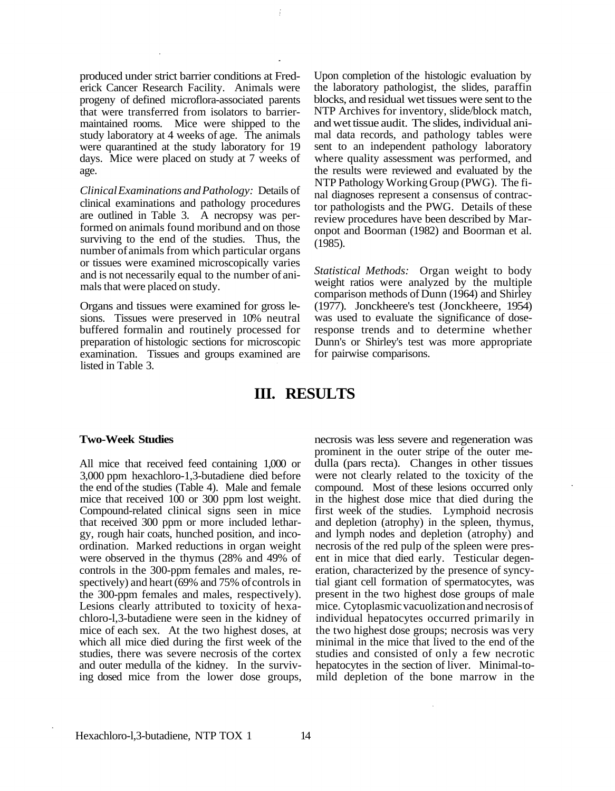produced under strict barrier conditions at Frederick Cancer Research Facility. Animals were progeny of defined microflora-associated parents that were transferred from isolators to barriermaintained rooms. Mice were shipped to the study laboratory at 4 weeks of age. The animals were quarantined at the study laboratory for 19 days. Mice were placed on study at 7 weeks of age.

*Clinical Examinations and Pathology:* Details of clinical examinations and pathology procedures are outlined in Table 3. A necropsy was performed on animals found moribund and on those surviving to the end of the studies. Thus, the number of animals from which particular organs or tissues were examined microscopically varies and is not necessarily equal to the number of animals that were placed on study.

Organs and tissues were examined for gross lesions. Tissues were preserved in 10% neutral buffered formalin and routinely processed for preparation of histologic sections for microscopic examination. Tissues and groups examined are listed in Table 3.

Upon completion of the histologic evaluation by the laboratory pathologist, the slides, paraffin blocks, and residual wet tissues were sent to the NTP Archives for inventory, slide/block match, and wet tissue audit. The slides, individual animal data records, and pathology tables were sent to an independent pathology laboratory where quality assessment was performed, and the results were reviewed and evaluated by the NTP Pathology Working Group (PWG). The final diagnoses represent a consensus of contractor pathologists and the PWG. Details of these review procedures have been described by Maronpot and Boorman (1982) and Boorman et al. (1985).

*Statistical Methods:* Organ weight to body weight ratios were analyzed by the multiple comparison methods of Dunn (1964) and Shirley (1977). Jonckheere's test (Jonckheere, 1954) was used to evaluate the significance of doseresponse trends and to determine whether Dunn's or Shirley's test was more appropriate for pairwise comparisons.

## **III. RESULTS**

#### **Two-Week Studies**

All mice that received feed containing 1,000 or 3,000 ppm hexachloro-1,3-butadiene died before the end of the studies (Table 4). Male and female mice that received 100 or 300 ppm lost weight. Compound-related clinical signs seen in mice that received 300 ppm or more included lethargy, rough hair coats, hunched position, and incoordination. Marked reductions in organ weight were observed in the thymus (28% and 49% of controls in the 300-ppm females and males, respectively) and heart (69% and 75% of controls in the 300-ppm females and males, respectively). Lesions clearly attributed to toxicity of hexachloro-l,3-butadiene were seen in the kidney of mice of each sex. At the two highest doses, at which all mice died during the first week of the studies, there was severe necrosis of the cortex and outer medulla of the kidney. In the surviv ing dosed mice from the lower dose groups, necrosis was less severe and regeneration was prominent in the outer stripe of the outer medulla (pars recta). Changes in other tissues were not clearly related to the toxicity of the compound. Most of these lesions occurred only in the highest dose mice that died during the first week of the studies. Lymphoid necrosis and depletion (atrophy) in the spleen, thymus, and lymph nodes and depletion (atrophy) and necrosis of the red pulp of the spleen were present in mice that died early. Testicular degeneration, characterized by the presence of syncytial giant cell formation of spermatocytes, was present in the two highest dose groups of male mice. Cytoplasmic vacuolization and necrosis of individual hepatocytes occurred primarily in the two highest dose groups; necrosis was very minimal in the mice that lived to the end of the studies and consisted of only a few necrotic hepatocytes in the section of liver. Minimal-tomild depletion of the bone marrow in the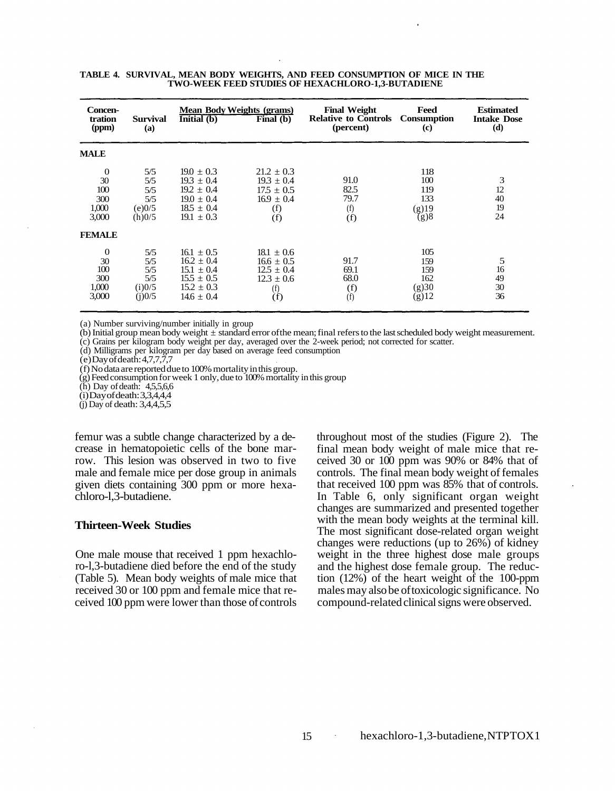| <b>Concen-</b><br>tration<br>(ppm)             | <b>Survival</b><br>(a)                       | $\overline{Initial(b)}$                                                                                  | <b>Mean Body Weights (grams)</b><br>Final (b)                                      | <b>Final Weight</b><br><b>Relative to Controls</b><br>(percent) | Feed<br><b>Consumption</b><br>(c)             | <b>Estimated</b><br><b>Intake Dose</b><br>(d) |
|------------------------------------------------|----------------------------------------------|----------------------------------------------------------------------------------------------------------|------------------------------------------------------------------------------------|-----------------------------------------------------------------|-----------------------------------------------|-----------------------------------------------|
| <b>MALE</b>                                    |                                              |                                                                                                          |                                                                                    |                                                                 |                                               |                                               |
| $\theta$<br>30<br>100<br>300<br>1,000<br>3,000 | 5/5<br>5/5<br>5/5<br>5/5<br>(e)0/5<br>(h)0/5 | $19.0 \pm 0.3$<br>$19.3 \pm 0.4$<br>$19.2 \pm 0.4$<br>$19.0 \pm 0.4$<br>$18.5 \pm 0.4$<br>$19.1 \pm 0.3$ | $21.2 \pm 0.3$<br>$19.3 \pm 0.4$<br>$17.5 \pm 0.5$<br>$16.9 \pm 0.4$<br>(f)<br>(f) | 91.0<br>82.5<br>79.7<br>(f)<br>(f)                              | 118<br>100<br>119<br>133<br>$(g)$ 19<br>(g)8  | 3<br>12<br>40<br>19<br>24                     |
| <b>FEMALE</b>                                  |                                              |                                                                                                          |                                                                                    |                                                                 |                                               |                                               |
| $\theta$<br>30<br>100<br>300<br>1,000<br>3,000 | 5/5<br>5/5<br>5/5<br>5/5<br>(i)0/5<br>(i)0/5 | $16.1 \pm 0.5$<br>$16.2 \pm 0.4$<br>$15.1 \pm 0.4$<br>$15.5 \pm 0.5$<br>$15.2 \pm 0.3$<br>$14.6 \pm 0.4$ | $18.1 \pm 0.6$<br>$16.6 \pm 0.5$<br>$12.5 \pm 0.4$<br>$12.3 \pm 0.6$<br>(f)<br>(f) | 91.7<br>69.1<br>68.0<br>(f)<br>(f)                              | 105<br>159<br>159<br>162<br>(g)30<br>$(g)$ 12 | 5<br>16<br>49<br>30<br>36                     |

|  | TABLE 4. SURVIVAL, MEAN BODY WEIGHTS, AND FEED CONSUMPTION OF MICE IN THE |
|--|---------------------------------------------------------------------------|
|  | <b>TWO-WEEK FEED STUDIES OF HEXACHLORO-1.3-BUTADIENE</b>                  |

(a) Number surviving/number initially in group<br>(b) Initial group mean body weight  $\pm$  standard error of the mean; final refers to the last scheduled body weight measurement.

(c) Grains per kilogram body weight per day, averaged over the 2-week period; not corrected for scatter.

(d) Milligrams per kilogram per day based on average feed consumption (e)Day of death: 4,7,7,7,7<br>(f) No data are reported due to 100% mortality in this group.

 $(g)$  Feed consumption for week 1 only, due to 100% mortality in this group.

(h) Day of death: 4,5,5,6,6

 $(i)$ Day of death: 3,3,4,4,4

(j) Day of death: 3,4,4,5,5

femur was a subtle change characterized by a decrease in hematopoietic cells of the bone marrow. This lesion was observed in two to five male and female mice per dose group in animals given diets containing 300 ppm or more hexachloro-l,3-butadiene.

#### **Thirteen-Week Studies**

One male mouse that received 1 ppm hexachloro-l,3-butadiene died before the end of the study (Table 5). Mean body weights of male mice that received 30 or 100 ppm and female mice that received 100 ppm were lower than those of controls throughout most of the studies (Figure 2). The final mean body weight of male mice that received 30 or 100 ppm was 90% or 84% that of controls. The final mean body weight of females that received 100 ppm was 85% that of controls. In Table 6, only significant organ weight changes are summarized and presented together with the mean body weights at the terminal kill. The most significant dose-related organ weight changes were reductions (up to 26%) of kidney weight in the three highest dose male groups and the highest dose female group. The reduction (12%) of the heart weight of the 100-ppm males may also be of toxicologic significance. No compound-related clinical signs were observed.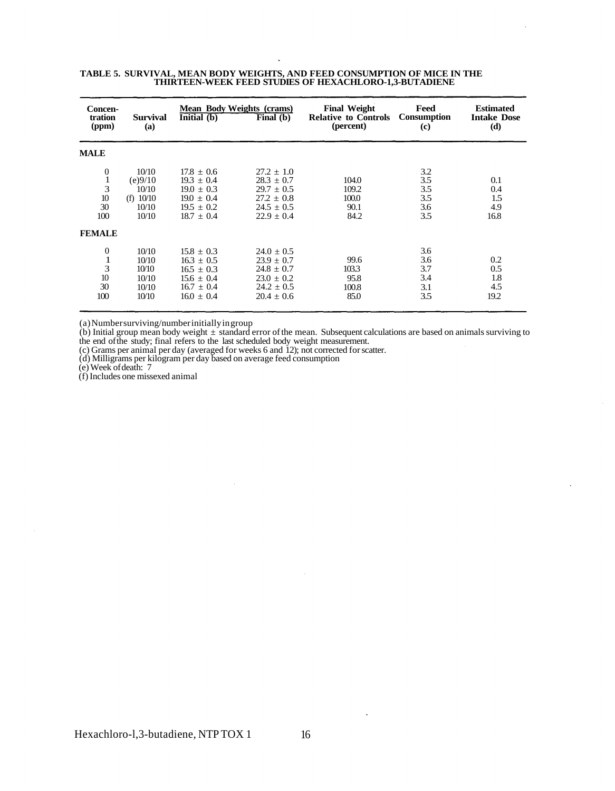| Concen-<br>tration<br>(ppm)                                                 | <b>Survival</b><br>(a)                                     | Initial (b)                                                                                              | Mean Body Weights (crams)<br>Final $(b)$                                                                 | <b>Final Weight</b><br><b>Relative to Controls</b><br>(percent) | Feed<br><b>Consumption</b><br>(c)      | <b>Estimated</b><br><b>Intake Dose</b><br>(d) |
|-----------------------------------------------------------------------------|------------------------------------------------------------|----------------------------------------------------------------------------------------------------------|----------------------------------------------------------------------------------------------------------|-----------------------------------------------------------------|----------------------------------------|-----------------------------------------------|
| <b>MALE</b>                                                                 |                                                            |                                                                                                          |                                                                                                          |                                                                 |                                        |                                               |
| $\boldsymbol{0}$<br>$\mathbf{1}$<br>3<br>$10$<br>30<br>100<br><b>FEMALE</b> | 10/10<br>(e)9/10<br>10/10<br>(f) $10/10$<br>10/10<br>10/10 | $17.8 \pm 0.6$<br>$19.3 \pm 0.4$<br>$19.0 \pm 0.3$<br>$19.0 \pm 0.4$<br>$19.5 + 0.2$<br>$18.7 \pm 0.4$   | $27.2 \pm 1.0$<br>$28.3 \pm 0.7$<br>$29.7 \pm 0.5$<br>$27.2 \pm 0.8$<br>$24.5 \pm 0.5$<br>$22.9 \pm 0.4$ | 104.0<br>109.2<br>100.0<br>90.1<br>84.2                         | 3.2<br>3.5<br>3.5<br>3.5<br>3.6<br>3.5 | 0.1<br>0.4<br>1.5<br>4.9<br>16.8              |
| $\mathbf{0}$<br>$\mathbf 1$<br>3<br>10<br>30<br>100                         | 10/10<br>10/10<br>10/10<br>10/10<br>10/10<br>10/10         | $15.8 \pm 0.3$<br>$16.3 \pm 0.5$<br>$16.5 \pm 0.3$<br>$15.6 \pm 0.4$<br>$16.7 \pm 0.4$<br>$16.0 \pm 0.4$ | $24.0 + 0.5$<br>$23.9 \pm 0.7$<br>$24.8 \pm 0.7$<br>$23.0 \pm 0.2$<br>$24.2 \pm 0.5$<br>$20.4 \pm 0.6$   | 99.6<br>103.3<br>95.8<br>100.8<br>85.0                          | 3.6<br>3.6<br>3.7<br>3.4<br>3.1<br>3.5 | 0.2<br>0.5<br>1.8<br>4.5<br>19.2              |

#### **TABLE 5. SURVIVAL, MEAN BODY WEIGHTS, AND FEED CONSUMPTION OF MICE IN THE THIRTEEN-WEEK FEED STUDIES OF HEXACHLORO-1,3-BUTADIENE**

(a)Number surviving/number initially in group

(b) Initial group mean body weight  $\pm$  standard error of the mean. Subsequent calculations are based on animals surviving to the end of the study; final refers to the last scheduled body weight measurement.<br>(c) Grams per

(f)Includes one missexed animal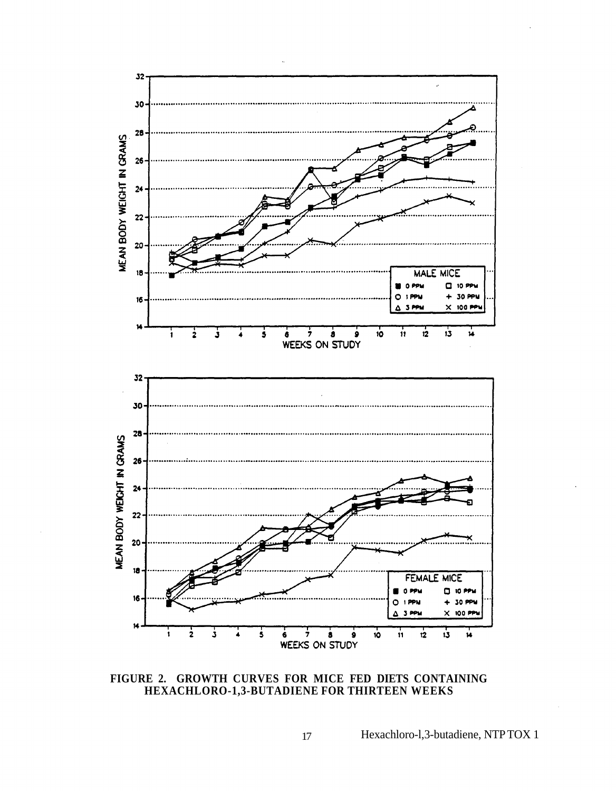

**FIGURE 2. GROWTH CURVES FOR MICE FED DIETS CONTAINING HEXACHLORO-1,3-BUTADIENE FOR THIRTEEN WEEKS** 

17 Hexachloro-l,3-butadiene, NTP TOX 1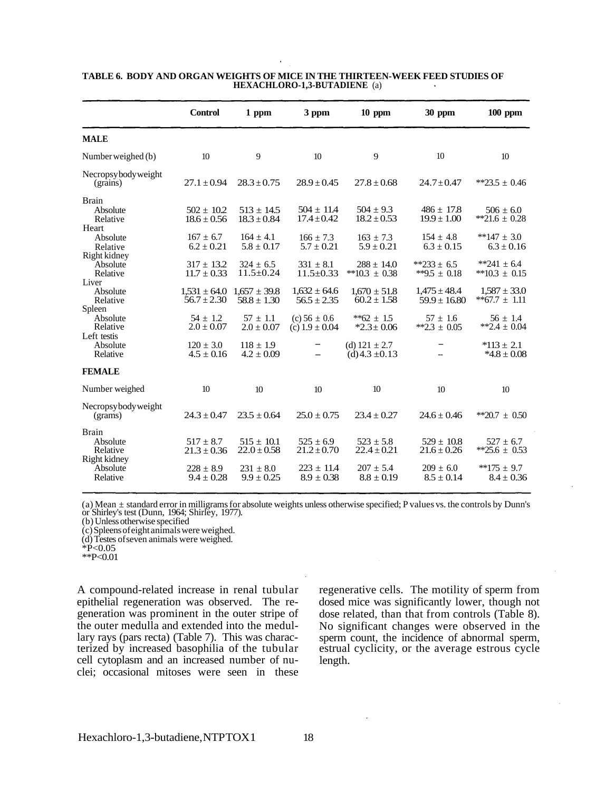|                                                                                                                                                          | <b>Control</b>                                                                                                                                   | 1 ppm                                                                                                                                           | 3 ppm                                                                                                                                           | $10$ ppm                                                                                                                                          | 30 ppm                                                                                                                                          | $100$ ppm                                                                                                                                                |
|----------------------------------------------------------------------------------------------------------------------------------------------------------|--------------------------------------------------------------------------------------------------------------------------------------------------|-------------------------------------------------------------------------------------------------------------------------------------------------|-------------------------------------------------------------------------------------------------------------------------------------------------|---------------------------------------------------------------------------------------------------------------------------------------------------|-------------------------------------------------------------------------------------------------------------------------------------------------|----------------------------------------------------------------------------------------------------------------------------------------------------------|
| <b>MALE</b>                                                                                                                                              |                                                                                                                                                  |                                                                                                                                                 |                                                                                                                                                 |                                                                                                                                                   |                                                                                                                                                 |                                                                                                                                                          |
| Number weighed (b)                                                                                                                                       | 10                                                                                                                                               | 9                                                                                                                                               | 10                                                                                                                                              | 9                                                                                                                                                 | 10                                                                                                                                              | 10                                                                                                                                                       |
| Necropsybodyweight<br>(grains)                                                                                                                           | $27.1 \pm 0.94$                                                                                                                                  | $28.3 \pm 0.75$                                                                                                                                 | $28.9 \pm 0.45$                                                                                                                                 | $27.8 \pm 0.68$                                                                                                                                   | $24.7 \pm 0.47$                                                                                                                                 | **23.5 $\pm$ 0.46                                                                                                                                        |
| <b>Brain</b><br>Absolute<br>Relative<br>Heart<br>Absolute<br>Relative<br>Right kidney<br>Absolute<br>Relative<br>Liver<br>Absolute<br>Relative<br>Spleen | $502 \pm 10.2$<br>$18.6 \pm 0.56$<br>$167 \pm 6.7$<br>$6.2 \pm 0.21$<br>$317 \pm 13.2$<br>$11.7 \pm 0.33$<br>$1,531 \pm 64.0$<br>$56.7 \pm 2.30$ | $513 \pm 14.5$<br>$18.3 \pm 0.84$<br>$164 \pm 4.1$<br>$5.8 \pm 0.17$<br>$324 \pm 6.5$<br>$11.5 \pm 0.24$<br>$1,657 \pm 39.8$<br>$58.8 \pm 1.30$ | $504 \pm 11.4$<br>$17.4 \pm 0.42$<br>$166 \pm 7.3$<br>$5.7 \pm 0.21$<br>$331 \pm 8.1$<br>$11.5 \pm 0.33$<br>$1.632 \pm 64.6$<br>$56.5 \pm 2.35$ | $504 \pm 9.3$<br>$18.2 \pm 0.53$<br>$163 \pm 7.3$<br>$5.9 \pm 0.21$<br>$288 \pm 14.0$<br>**10.3 $\pm$ 0.38<br>$1.670 \pm 51.8$<br>$60.2 \pm 1.58$ | $486 \pm 17.8$<br>$19.9 \pm 1.00$<br>$154 \pm 4.8$<br>$6.3 \pm 0.15$<br>**233 ± 6.5<br>**9.5 $\pm$ 0.18<br>$1,475 \pm 48.4$<br>$59.9 \pm 16.80$ | $506 \pm 6.0$<br>**21.6 $\pm$ 0.28<br>**147 $\pm$ 3.0<br>$6.3 \pm 0.16$<br>**241 $\pm$ 6.4<br>**10.3 $\pm$ 0.15<br>$1.587 \pm 33.0$<br>**67.7 $\pm$ 1.11 |
| Absolute<br>Relative<br>Left testis<br>Absolute<br>Relative                                                                                              | $54 \pm 1.2$<br>$2.0 \pm 0.07$<br>$120 \pm 3.0$<br>$4.5 \pm 0.16$                                                                                | $57 \pm 1.1$<br>$2.0 \pm 0.07$<br>$118 \pm 1.9$<br>$4.2 \pm 0.09$                                                                               | (c) $56 \pm 0.6$<br>(c) $1.9 \pm 0.04$                                                                                                          | **62 $\pm$ 15<br>$*2.3 \pm 0.06$<br>(d) $121 \pm 2.7$<br>(d) 4.3 $\pm$ 0.13                                                                       | $57 \pm 1.6$<br>**2.3 $\pm$ 0.05                                                                                                                | $56 \pm 1.4$<br>**2.4 $\pm$ 0.04<br>$*113 \pm 2.1$<br>$*4.8 \pm 0.08$                                                                                    |
| <b>FEMALE</b>                                                                                                                                            |                                                                                                                                                  |                                                                                                                                                 |                                                                                                                                                 |                                                                                                                                                   |                                                                                                                                                 |                                                                                                                                                          |
| Number weighed                                                                                                                                           | 10                                                                                                                                               | 10 <sup>10</sup>                                                                                                                                | 10                                                                                                                                              | 10                                                                                                                                                | 10                                                                                                                                              | 10 <sup>10</sup>                                                                                                                                         |
| Necropsybody weight<br>(grams)                                                                                                                           | $24.3 \pm 0.47$                                                                                                                                  | $23.5 \pm 0.64$                                                                                                                                 | $25.0 \pm 0.75$                                                                                                                                 | $23.4 \pm 0.27$                                                                                                                                   | $24.6 \pm 0.46$                                                                                                                                 | **20.7 $\pm$ 0.50                                                                                                                                        |
| <b>Brain</b><br>Absolute<br>Relative<br>Right kidney<br>Absolute<br>Relative                                                                             | $517 + 8.7$<br>$21.3 \pm 0.36$<br>$228 \pm 8.9$<br>$9.4 \pm 0.28$                                                                                | $515 \pm 10.1$<br>$22.0 \pm 0.58$<br>$231 \pm 8.0$<br>$9.9 \pm 0.25$                                                                            | $525 \pm 6.9$<br>$21.2 \pm 0.70$<br>$223 \pm 11.4$<br>$8.9 \pm 0.38$                                                                            | $523 + 5.8$<br>$22.4 \pm 0.21$<br>$207 \pm 5.4$<br>$8.8 \pm 0.19$                                                                                 | $529 \pm 10.8$<br>$21.6 \pm 0.26$<br>$209 \pm 6.0$<br>$8.5 \pm 0.14$                                                                            | $527 + 6.7$<br>**25.6 $\pm$ 0.53<br>$*175 + 9.7$<br>$8.4 \pm 0.36$                                                                                       |

#### **TABLE 6. BODY AND ORGAN WEIGHTS OF MICE IN THE THIRTEEN-WEEK FEED STUDIES OF HEXACHLORO-1,3-BUTADIENE** (a)

(a) Mean  $\pm$  standard error in milligrams for absolute weights unless otherwise specified; P values vs. the controls by Dunn's or Shirley's test (Dunn, 1964; Shirley, 1977).<br>(b) Unless otherwise specified

(c)Spleens of eight animals were weighed. (d)Testes of seven animals were weighed. \*P<0.05

\*\*P<0.01

A compound-related increase in renal tubular epithelial regeneration was observed. The regeneration was prominent in the outer stripe of the outer medulla and extended into the medullary rays (pars recta) (Table 7). This was characterized by increased basophilia of the tubular cell cytoplasm and an increased number of nuclei; occasional mitoses were seen in these regenerative cells. The motility of sperm from dosed mice was significantly lower, though not dose related, than that from controls (Table 8). No significant changes were observed in the estrual cyclicity, or the average estrous cycle length.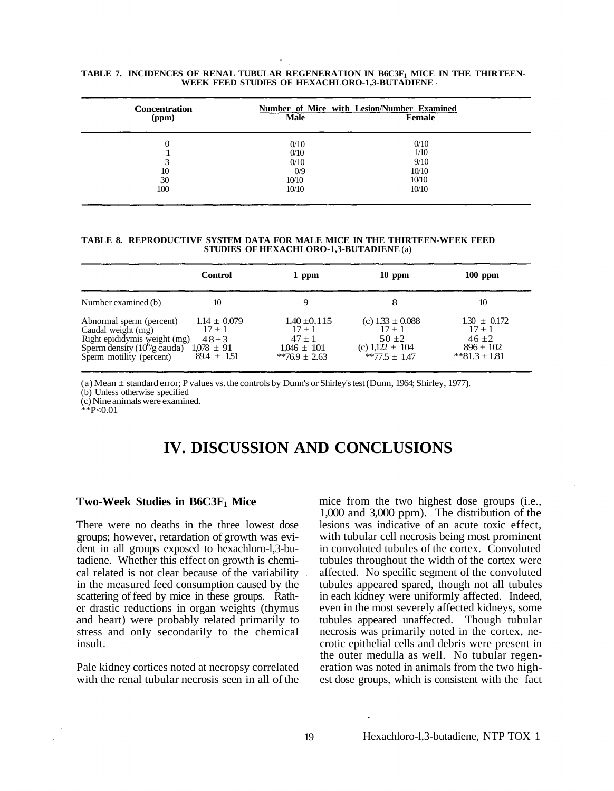| <b>Concentration</b> | Number of Mice with Lesion/Number Examined |        |  |
|----------------------|--------------------------------------------|--------|--|
| (ppm)                | <b>Male</b>                                | Female |  |
| 0                    | 0/10                                       | 0/10   |  |
|                      | 0/10                                       | 1/10   |  |
| 3                    | 0/10                                       | 9/10   |  |
| 10                   | 0/9                                        | 10/10  |  |
| 30                   | 10/10                                      | 10/10  |  |
| 100                  | 10/10                                      | 10/10  |  |

## **TABLE 7. INCIDENCES OF RENAL TUBULAR REGENERATION IN B6C3F1 MICE IN THE THIRTEEN- WEEK FEED STUDIES OF HEXACHLORO-1,3-BUTADIENE**

#### **TABLE 8. REPRODUCTIVE SYSTEM DATA FOR MALE MICE IN THE THIRTEEN-WEEK FEED STUDIES OF HEXACHLORO-1,3-BUTADIENE** (a)

|                                                                                                                                                      | <b>Control</b>                                                               | 1 ppm                                                                            | $10$ ppm                                                                              | $100$ ppm                                                                      |
|------------------------------------------------------------------------------------------------------------------------------------------------------|------------------------------------------------------------------------------|----------------------------------------------------------------------------------|---------------------------------------------------------------------------------------|--------------------------------------------------------------------------------|
| Number examined (b)                                                                                                                                  | 10                                                                           |                                                                                  | 8                                                                                     | 10                                                                             |
| Abnormal sperm (percent)<br>Caudal weight (mg)<br>Right epididymis weight (mg)<br>Sperm density $(10^6/g \text{ cauda})$<br>Sperm motility (percent) | $1.14 \pm 0.079$<br>$17 + 1$<br>$48 + 3$<br>$1.078 \pm 91$<br>$89.4 \pm 151$ | $1.40 \pm 0.115$<br>$17 + 1$<br>$47 + 1$<br>$1.046 \pm 101$<br>**76.9 $\pm$ 2.63 | (c) $1.33 \pm 0.088$<br>$17 + 1$<br>$50 + 2$<br>(c) $1,122 \pm 104$<br>$*77.5 + 1.47$ | $1.30 \pm 0.172$<br>$17 + 1$<br>$46 + 2$<br>$896 \pm 102$<br>**81.3 $\pm$ 1.81 |

(a) Mean ± standard error; P values vs. the controls by Dunn's or Shirley's test (Dunn, 1964; Shirley, 1977). (b) Unless otherwise specified

(c) Nine animals were examined.  $*P<0.01$ 

## **IV. DISCUSSION AND CONCLUSIONS**

#### Two-Week Studies in B6C3F<sub>1</sub> Mice

There were no deaths in the three lowest dose groups; however, retardation of growth was evident in all groups exposed to hexachloro-l,3-butadiene. Whether this effect on growth is chemical related is not clear because of the variability in the measured feed consumption caused by the scattering of feed by mice in these groups. Rather drastic reductions in organ weights (thymus and heart) were probably related primarily to stress and only secondarily to the chemical insult.

Pale kidney cortices noted at necropsy correlated with the renal tubular necrosis seen in all of the mice from the two highest dose groups (i.e., 1,000 and 3,000 ppm). The distribution of the lesions was indicative of an acute toxic effect, with tubular cell necrosis being most prominent in convoluted tubules of the cortex. Convoluted tubules throughout the width of the cortex were affected. No specific segment of the convoluted tubules appeared spared, though not all tubules in each kidney were uniformly affected. Indeed, even in the most severely affected kidneys, some tubules appeared unaffected. Though tubular necrosis was primarily noted in the cortex, necrotic epithelial cells and debris were present in the outer medulla as well. No tubular regeneration was noted in animals from the two highest dose groups, which is consistent with the fact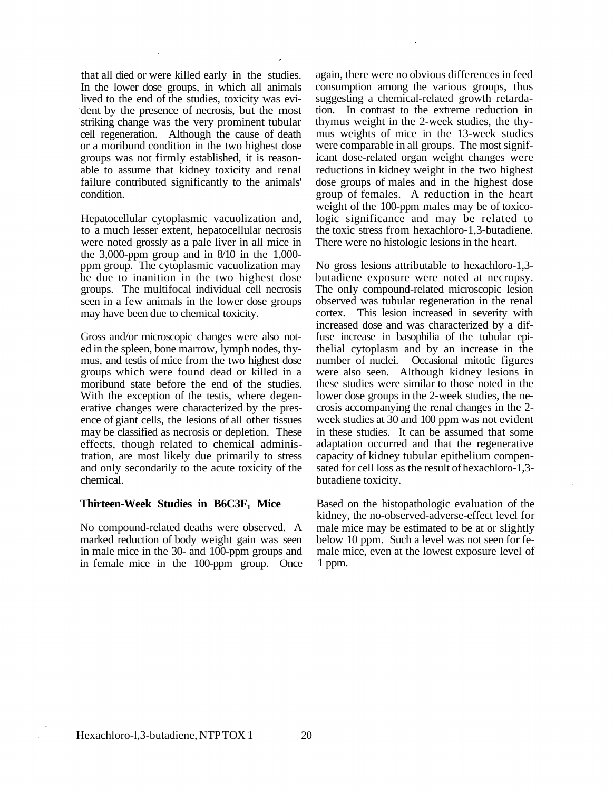that all died or were killed early in the studies. In the lower dose groups, in which all animals lived to the end of the studies, toxicity was evident by the presence of necrosis, but the most striking change was the very prominent tubular cell regeneration. Although the cause of death or a moribund condition in the two highest dose groups was not firmly established, it is reasonable to assume that kidney toxicity and renal failure contributed significantly to the animals' condition.

Hepatocellular cytoplasmic vacuolization and, to a much lesser extent, hepatocellular necrosis were noted grossly as a pale liver in all mice in the 3,000-ppm group and in 8/10 in the 1,000 ppm group. The cytoplasmic vacuolization may be due to inanition in the two highest dose groups. The multifocal individual cell necrosis seen in a few animals in the lower dose groups may have been due to chemical toxicity.

Gross and/or microscopic changes were also noted in the spleen, bone marrow, lymph nodes, thymus, and testis of mice from the two highest dose groups which were found dead or killed in a moribund state before the end of the studies. With the exception of the testis, where degenerative changes were characterized by the presence of giant cells, the lesions of all other tissues may be classified as necrosis or depletion. These effects, though related to chemical administration, are most likely due primarily to stress and only secondarily to the acute toxicity of the chemical.

#### **Thirteen-Week Studies in B6C3F<sub>1</sub> Mice**

No compound-related deaths were observed. A marked reduction of body weight gain was seen in male mice in the 30- and 100-ppm groups and in female mice in the 100-ppm group. Once again, there were no obvious differences in feed consumption among the various groups, thus suggesting a chemical-related growth retardation. In contrast to the extreme reduction in thymus weight in the 2-week studies, the thymus weights of mice in the 13-week studies were comparable in all groups. The most significant dose-related organ weight changes were reductions in kidney weight in the two highest dose groups of males and in the highest dose group of females. A reduction in the heart weight of the 100-ppm males may be of toxicologic significance and may be related to the toxic stress from hexachloro-1,3-butadiene. There were no histologic lesions in the heart.

No gross lesions attributable to hexachloro-1,3 butadiene exposure were noted at necropsy. The only compound-related microscopic lesion observed was tubular regeneration in the renal cortex. This lesion increased in severity with increased dose and was characterized by a diffuse increase in basophilia of the tubular epithelial cytoplasm and by an increase in the number of nuclei. Occasional mitotic figures were also seen. Although kidney lesions in these studies were similar to those noted in the lower dose groups in the 2-week studies, the necrosis accompanying the renal changes in the 2 week studies at 30 and 100 ppm was not evident in these studies. It can be assumed that some adaptation occurred and that the regenerative capacity of kidney tubular epithelium compensated for cell loss as the result of hexachloro-1,3 butadiene toxicity.

Based on the histopathologic evaluation of the kidney, the no-observed-adverse-effect level for male mice may be estimated to be at or slightly below 10 ppm. Such a level was not seen for female mice, even at the lowest exposure level of 1 ppm.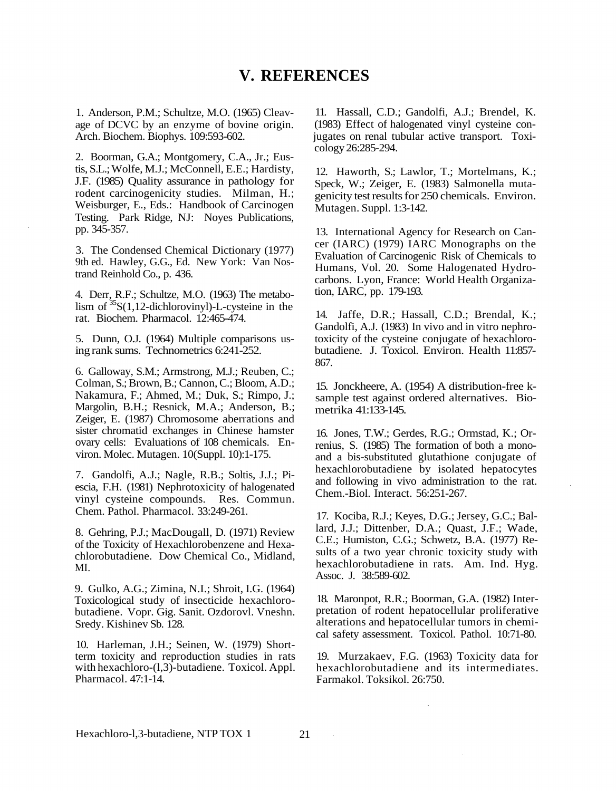## **V. REFERENCES**

1. Anderson, P.M.; Schultze, M.O. (1965) Cleavage of DCVC by an enzyme of bovine origin. Arch. Biochem. Biophys. 109:593-602.

2. Boorman, G.A.; Montgomery, C.A., Jr.; Eustis, S.L.; Wolfe, M.J.; McConnell, E.E.; Hardisty, J.F. (1985) Quality assurance in pathology for rodent carcinogenicity studies. Milman, H.; Weisburger, E., Eds.: Handbook of Carcinogen Testing. Park Ridge, NJ: Noyes Publications, pp. 345-357.

3. The Condensed Chemical Dictionary (1977) 9th ed. Hawley, G.G., Ed. New York: Van Nostrand Reinhold Co., p. 436.

4. Derr, R.F.; Schultze, M.O. (1963) The metabolism of  ${}^{35}S(1,12$ -dichlorovinyl)-L-cysteine in the rat. Biochem. Pharmacol. 12:465-474.

5. Dunn, O.J. (1964) Multiple comparisons using rank sums. Technometrics 6:241-252.

6. Galloway, S.M.; Armstrong, M.J.; Reuben, C.; Colman, S.; Brown, B.; Cannon, C.; Bloom, A.D.; Nakamura, F.; Ahmed, M.; Duk, S.; Rimpo, J.; Margolin, B.H.; Resnick, M.A.; Anderson, B.; Zeiger, E. (1987) Chromosome aberrations and sister chromatid exchanges in Chinese hamster ovary cells: Evaluations of 108 chemicals. Environ. Molec. Mutagen. 10(Suppl. 10):1-175.

7. Gandolfi, A.J.; Nagle, R.B.; Soltis, J.J.; Piescia, F.H. (1981) Nephrotoxicity of halogenated vinyl cysteine compounds. Res. Commun. Chem. Pathol. Pharmacol. 33:249-261.

8. Gehring, P.J.; MacDougall, D. (1971) Review of the Toxicity of Hexachlorobenzene and Hexachlorobutadiene. Dow Chemical Co., Midland, MI.

9. Gulko, A.G.; Zimina, N.I.; Shroit, I.G. (1964) Toxicological study of insecticide hexachlorobutadiene. Vopr. Gig. Sanit. Ozdorovl. Vneshn. Sredy. Kishinev Sb. 128.

10. Harleman, J.H.; Seinen, W. (1979) Shortterm toxicity and reproduction studies in rats with hexachloro-(l,3)-butadiene. Toxicol. Appl. Pharmacol. 47:1-14.

11. Hassall, C.D.; Gandolfi, A.J.; Brendel, K. (1983) Effect of halogenated vinyl cysteine conjugates on renal tubular active transport. Toxicology 26:285-294.

12. Haworth, S.; Lawlor, T.; Mortelmans, K.; Speck, W.; Zeiger, E. (1983) Salmonella mutagenicity test results for 250 chemicals. Environ. Mutagen. Suppl. 1:3-142.

13. International Agency for Research on Cancer (IARC) (1979) IARC Monographs on the Evaluation of Carcinogenic Risk of Chemicals to Humans, Vol. 20. Some Halogenated Hydrocarbons. Lyon, France: World Health Organization, IARC, pp. 179-193.

14. Jaffe, D.R.; Hassall, C.D.; Brendal, K.; Gandolfi, A.J. (1983) In vivo and in vitro nephrotoxicity of the cysteine conjugate of hexachlorobutadiene. J. Toxicol. Environ. Health 11:857 867.

15. Jonckheere, A. (1954) A distribution-free ksample test against ordered alternatives. Biometrika 41:133-145.

16. Jones, T.W.; Gerdes, R.G.; Ormstad, K.; Orrenius, S. (1985) The formation of both a monoand a bis-substituted glutathione conjugate of hexachlorobutadiene by isolated hepatocytes and following in vivo administration to the rat. Chem.-Biol. Interact. 56:251-267.

17. Kociba, R.J.; Keyes, D.G.; Jersey, G.C.; Ballard, J.J.; Dittenber, D.A.; Quast, J.F.; Wade, C.E.; Humiston, C.G.; Schwetz, B.A. (1977) Results of a two year chronic toxicity study with hexachlorobutadiene in rats. Am. Ind. Hyg. Assoc. J. 38:589-602.

18. Maronpot, R.R.; Boorman, G.A. (1982) Interpretation of rodent hepatocellular proliferative alterations and hepatocellular tumors in chemical safety assessment. Toxicol. Pathol. 10:71-80.

19. Murzakaev, F.G. (1963) Toxicity data for hexachlorobutadiene and its intermediates. Farmakol. Toksikol. 26:750.

 $\sim$   $\sim$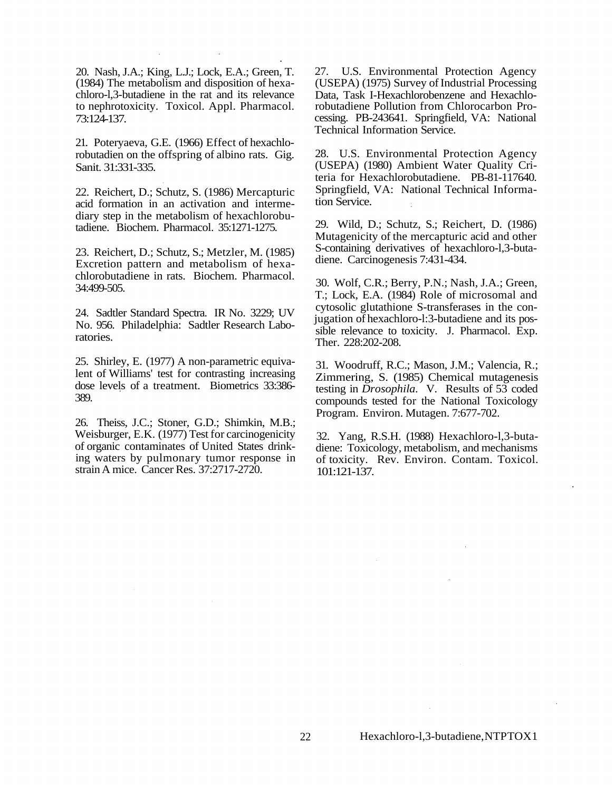20. Nash, J.A.; King, L.J.; Lock, E.A.; Green, T. (1984) The metabolism and disposition of hexachloro-l,3-butadiene in the rat and its relevance to nephrotoxicity. Toxicol. Appl. Pharmacol. 73:124-137.

21. Poteryaeva, G.E. (1966) Effect of hexachlorobutadien on the offspring of albino rats. Gig. Sanit. 31:331-335.

22. Reichert, D.; Schutz, S. (1986) Mercapturic acid formation in an activation and intermediary step in the metabolism of hexachlorobutadiene. Biochem. Pharmacol. 35:1271-1275.

23. Reichert, D.; Schutz, S.; Metzler, M. (1985) Excretion pattern and metabolism of hexachlorobutadiene in rats. Biochem. Pharmacol. 34:499-505.

24. Sadtler Standard Spectra. IR No. 3229; UV No. 956. Philadelphia: Sadtler Research Laboratories.

25. Shirley, E. (1977) A non-parametric equivalent of Williams' test for contrasting increasing dose levels of a treatment. Biometrics 33:386 389.

26. Theiss, J.C.; Stoner, G.D.; Shimkin, M.B.; Weisburger, E.K. (1977) Test for carcinogenicity of organic contaminates of United States drinking waters by pulmonary tumor response in strain A mice. Cancer Res. 37:2717-2720.

27. U.S. Environmental Protection Agency (USEPA) (1975) Survey of Industrial Processing Data, Task I-Hexachlorobenzene and Hexachlorobutadiene Pollution from Chlorocarbon Processing. PB-243641. Springfield, VA: National Technical Information Service.

28. U.S. Environmental Protection Agency (USEPA) (1980) Ambient Water Quality Criteria for Hexachlorobutadiene. PB-81-117640. Springfield, VA: National Technical Information Service.

29. Wild, D.; Schutz, S.; Reichert, D. (1986) Mutagenicity of the mercapturic acid and other S-containing derivatives of hexachloro-l,3-butadiene. Carcinogenesis 7:431-434.

30. Wolf, C.R.; Berry, P.N.; Nash, J.A.; Green, T.; Lock, E.A. (1984) Role of microsomal and cytosolic glutathione S-transferases in the conjugation of hexachloro-l:3-butadiene and its possible relevance to toxicity. J. Pharmacol. Exp. Ther. 228:202-208.

31. Woodruff, R.C.; Mason, J.M.; Valencia, R.; Zimmering, S. (1985) Chemical mutagenesis testing in *Drosophila.* V. Results of 53 coded compounds tested for the National Toxicology Program. Environ. Mutagen. 7:677-702.

32. Yang, R.S.H. (1988) Hexachloro-l,3-butadiene: Toxicology, metabolism, and mechanisms of toxicity. Rev. Environ. Contam. Toxicol. 101:121-137.